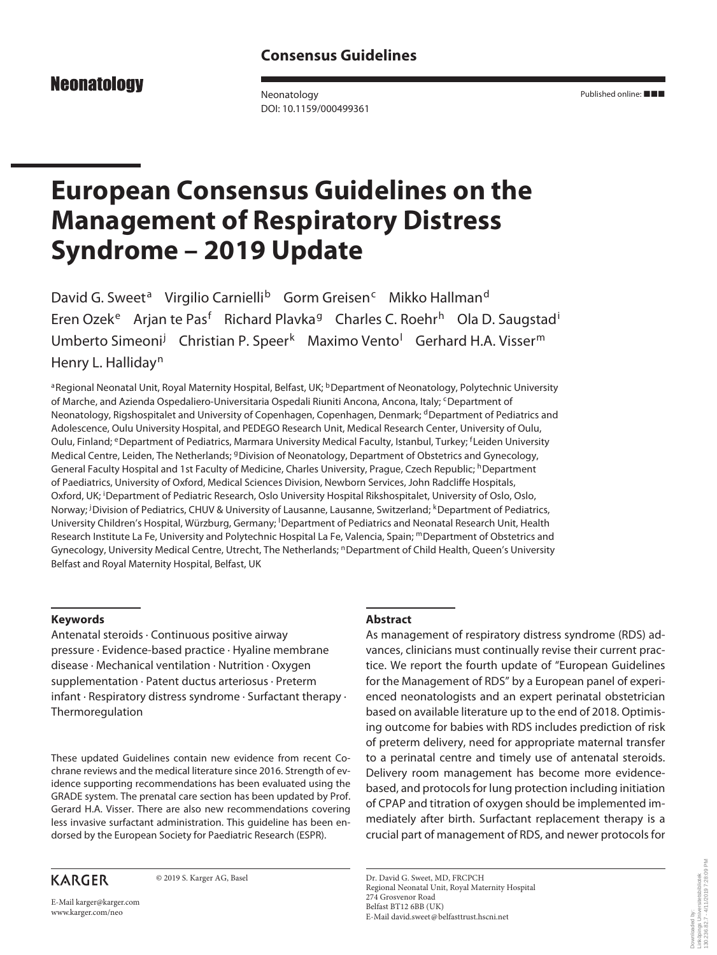# **Neonatology**

Neonatology DOI: 10.1159/000499361 Published online: ■■■

# **European Consensus Guidelines on the Management of Respiratory Distress Syndrome – 2019 Update**

David G. Sweet<sup>a</sup> Virgilio Carnielli<sup>b</sup> Gorm Greisen<sup>c</sup> Mikko Hallman<sup>d</sup> Eren Ozek<sup>e</sup> Arjan te Pas<sup>f</sup> Richard Plavka<sup>g</sup> Charles C. Roehr<sup>h</sup> Ola D. Saugstad<sup>i</sup> Umberto Simeoni<sup>j</sup> Christian P. Speer<sup>k</sup> Maximo Vento<sup>l</sup> Gerhard H.A. Visser<sup>m</sup> Henry L. Halliday<sup>n</sup>

aRegional Neonatal Unit, Royal Maternity Hospital, Belfast, UK; <sup>b</sup>Department of Neonatology, Polytechnic University of Marche, and Azienda Ospedaliero-Universitaria Ospedali Riuniti Ancona, Ancona, Italy; <sup>c</sup>Department of Neonatology, Rigshospitalet and University of Copenhagen, Copenhagen, Denmark; dDepartment of Pediatrics and Adolescence, Oulu University Hospital, and PEDEGO Research Unit, Medical Research Center, University of Oulu, Oulu, Finland; <sup>e</sup>Department of Pediatrics, Marmara University Medical Faculty, Istanbul, Turkey; <sup>f</sup>Leiden University Medical Centre, Leiden, The Netherlands; <sup>g</sup>Division of Neonatology, Department of Obstetrics and Gynecology, General Faculty Hospital and 1st Faculty of Medicine, Charles University, Prague, Czech Republic; <sup>h</sup>Department of Paediatrics, University of Oxford, Medical Sciences Division, Newborn Services, John Radcliffe Hospitals, Oxford, UK; <sup>i</sup>Department of Pediatric Research, Oslo University Hospital Rikshospitalet, University of Oslo, Oslo, Norway; <sup>j</sup>Division of Pediatrics, CHUV & University of Lausanne, Lausanne, Switzerland; <sup>k</sup>Department of Pediatrics, University Children's Hospital, Würzburg, Germany; <sup>I</sup>Department of Pediatrics and Neonatal Research Unit, Health Research Institute La Fe, University and Polytechnic Hospital La Fe, Valencia, Spain; mDepartment of Obstetrics and Gynecology, University Medical Centre, Utrecht, The Netherlands; <sup>n</sup>Department of Child Health, Queen's University Belfast and Royal Maternity Hospital, Belfast, UK

# **Keywords**

Antenatal steroids · Continuous positive airway pressure · Evidence-based practice · Hyaline membrane disease · Mechanical ventilation · Nutrition · Oxygen supplementation · Patent ductus arteriosus · Preterm infant · Respiratory distress syndrome · Surfactant therapy · Thermoregulation

These updated Guidelines contain new evidence from recent Cochrane reviews and the medical literature since 2016. Strength of evidence supporting recommendations has been evaluated using the GRADE system. The prenatal care section has been updated by Prof. Gerard H.A. Visser. There are also new recommendations covering less invasive surfactant administration. This guideline has been endorsed by the European Society for Paediatric Research (ESPR).

© 2019 S. Karger AG, Basel

# **Abstract**

As management of respiratory distress syndrome (RDS) advances, clinicians must continually revise their current practice. We report the fourth update of "European Guidelines for the Management of RDS" by a European panel of experienced neonatologists and an expert perinatal obstetrician based on available literature up to the end of 2018. Optimising outcome for babies with RDS includes prediction of risk of preterm delivery, need for appropriate maternal transfer to a perinatal centre and timely use of antenatal steroids. Delivery room management has become more evidencebased, and protocols for lung protection including initiation of CPAP and titration of oxygen should be implemented immediately after birth. Surfactant replacement therapy is a crucial part of management of RDS, and newer protocols for

Dr. David G. Sweet, MD, FRCPCH Regional Neonatal Unit, Royal Maternity Hospital Belfast BT12 6BB (UK) E-Mail david.sweet@belfasttrust.hscni.net

# **KARGER**

E-Mail karger@karger.com www.karger.com/neo

274 Grosvenor Road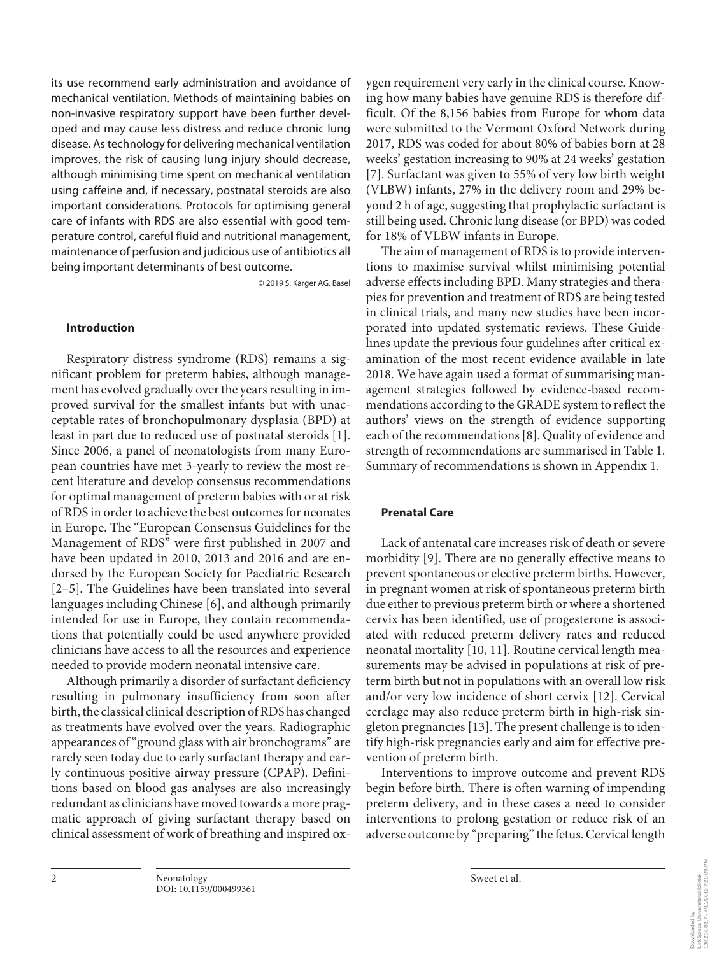its use recommend early administration and avoidance of mechanical ventilation. Methods of maintaining babies on non-invasive respiratory support have been further developed and may cause less distress and reduce chronic lung disease. As technology for delivering mechanical ventilation improves, the risk of causing lung injury should decrease, although minimising time spent on mechanical ventilation using caffeine and, if necessary, postnatal steroids are also important considerations. Protocols for optimising general care of infants with RDS are also essential with good temperature control, careful fluid and nutritional management, maintenance of perfusion and judicious use of antibiotics all being important determinants of best outcome.

© 2019 S. Karger AG, Basel

#### **Introduction**

Respiratory distress syndrome (RDS) remains a significant problem for preterm babies, although management has evolved gradually over the years resulting in improved survival for the smallest infants but with unacceptable rates of bronchopulmonary dysplasia (BPD) at least in part due to reduced use of postnatal steroids [1]. Since 2006, a panel of neonatologists from many European countries have met 3-yearly to review the most recent literature and develop consensus recommendations for optimal management of preterm babies with or at risk of RDS in order to achieve the best outcomes for neonates in Europe. The "European Consensus Guidelines for the Management of RDS" were first published in 2007 and have been updated in 2010, 2013 and 2016 and are endorsed by the European Society for Paediatric Research [2–5]. The Guidelines have been translated into several languages including Chinese [6], and although primarily intended for use in Europe, they contain recommendations that potentially could be used anywhere provided clinicians have access to all the resources and experience needed to provide modern neonatal intensive care.

Although primarily a disorder of surfactant deficiency resulting in pulmonary insufficiency from soon after birth, the classical clinical description of RDS has changed as treatments have evolved over the years. Radiographic appearances of "ground glass with air bronchograms" are rarely seen today due to early surfactant therapy and early continuous positive airway pressure (CPAP). Definitions based on blood gas analyses are also increasingly redundant as clinicians have moved towards a more pragmatic approach of giving surfactant therapy based on clinical assessment of work of breathing and inspired oxygen requirement very early in the clinical course. Knowing how many babies have genuine RDS is therefore difficult. Of the 8,156 babies from Europe for whom data were submitted to the Vermont Oxford Network during 2017, RDS was coded for about 80% of babies born at 28 weeks' gestation increasing to 90% at 24 weeks' gestation [7]. Surfactant was given to 55% of very low birth weight (VLBW) infants, 27% in the delivery room and 29% beyond 2 h of age, suggesting that prophylactic surfactant is still being used. Chronic lung disease (or BPD) was coded for 18% of VLBW infants in Europe.

The aim of management of RDS is to provide interventions to maximise survival whilst minimising potential adverse effects including BPD. Many strategies and therapies for prevention and treatment of RDS are being tested in clinical trials, and many new studies have been incorporated into updated systematic reviews. These Guidelines update the previous four guidelines after critical examination of the most recent evidence available in late 2018. We have again used a format of summarising management strategies followed by evidence-based recommendations according to the GRADE system to reflect the authors' views on the strength of evidence supporting each of the recommendations [8]. Quality of evidence and strength of recommendations are summarised in Table 1. Summary of recommendations is shown in Appendix 1.

#### **Prenatal Care**

Lack of antenatal care increases risk of death or severe morbidity [9]. There are no generally effective means to prevent spontaneous or elective preterm births. However, in pregnant women at risk of spontaneous preterm birth due either to previous preterm birth or where a shortened cervix has been identified, use of progesterone is associated with reduced preterm delivery rates and reduced neonatal mortality [10, 11]. Routine cervical length measurements may be advised in populations at risk of preterm birth but not in populations with an overall low risk and/or very low incidence of short cervix [12]. Cervical cerclage may also reduce preterm birth in high-risk singleton pregnancies [13]. The present challenge is to identify high-risk pregnancies early and aim for effective prevention of preterm birth.

Interventions to improve outcome and prevent RDS begin before birth. There is often warning of impending preterm delivery, and in these cases a need to consider interventions to prolong gestation or reduce risk of an adverse outcome by "preparing" the fetus. Cervical length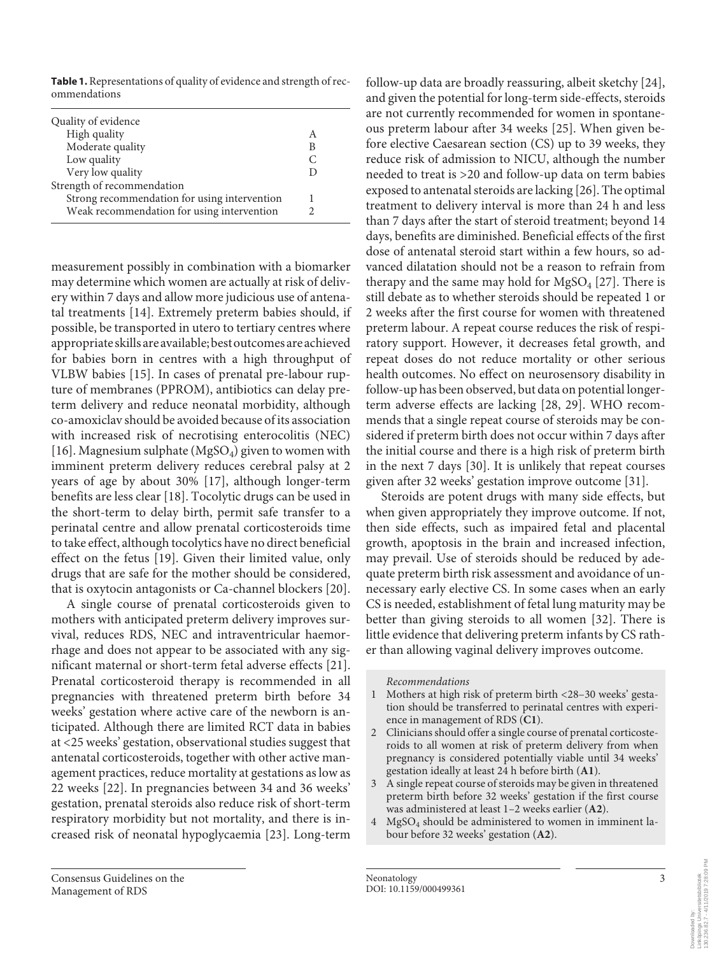**Table 1.** Representations of quality of evidence and strength of recommendations

| Quality of evidence                          |   |
|----------------------------------------------|---|
| High quality                                 | А |
| Moderate quality                             | В |
| Low quality                                  |   |
| Very low quality                             |   |
| Strength of recommendation                   |   |
| Strong recommendation for using intervention |   |
| Weak recommendation for using intervention   |   |

measurement possibly in combination with a biomarker may determine which women are actually at risk of delivery within 7 days and allow more judicious use of antenatal treatments [14]. Extremely preterm babies should, if possible, be transported in utero to tertiary centres where appropriate skills are available; best outcomes are achieved for babies born in centres with a high throughput of VLBW babies [15]. In cases of prenatal pre-labour rupture of membranes (PPROM), antibiotics can delay preterm delivery and reduce neonatal morbidity, although co-amoxiclav should be avoided because of its association with increased risk of necrotising enterocolitis (NEC) [16]. Magnesium sulphate (MgSO<sub>4</sub>) given to women with imminent preterm delivery reduces cerebral palsy at 2 years of age by about 30% [17], although longer-term benefits are less clear [18]. Tocolytic drugs can be used in the short-term to delay birth, permit safe transfer to a perinatal centre and allow prenatal corticosteroids time to take effect, although tocolytics have no direct beneficial effect on the fetus [19]. Given their limited value, only drugs that are safe for the mother should be considered, that is oxytocin antagonists or Ca-channel blockers [20].

A single course of prenatal corticosteroids given to mothers with anticipated preterm delivery improves survival, reduces RDS, NEC and intraventricular haemorrhage and does not appear to be associated with any significant maternal or short-term fetal adverse effects [21]. Prenatal corticosteroid therapy is recommended in all pregnancies with threatened preterm birth before 34 weeks' gestation where active care of the newborn is anticipated. Although there are limited RCT data in babies at <25 weeks' gestation, observational studies suggest that antenatal corticosteroids, together with other active management practices, reduce mortality at gestations as low as 22 weeks [22]. In pregnancies between 34 and 36 weeks' gestation, prenatal steroids also reduce risk of short-term respiratory morbidity but not mortality, and there is increased risk of neonatal hypoglycaemia [23]. Long-term

follow-up data are broadly reassuring, albeit sketchy [24], and given the potential for long-term side-effects, steroids are not currently recommended for women in spontaneous preterm labour after 34 weeks [25]. When given before elective Caesarean section (CS) up to 39 weeks, they reduce risk of admission to NICU, although the number needed to treat is >20 and follow-up data on term babies exposed to antenatal steroids are lacking [26]. The optimal treatment to delivery interval is more than 24 h and less than 7 days after the start of steroid treatment; beyond 14 days, benefits are diminished. Beneficial effects of the first dose of antenatal steroid start within a few hours, so advanced dilatation should not be a reason to refrain from therapy and the same may hold for  $MgSO<sub>4</sub>$  [27]. There is still debate as to whether steroids should be repeated 1 or 2 weeks after the first course for women with threatened preterm labour. A repeat course reduces the risk of respiratory support. However, it decreases fetal growth, and repeat doses do not reduce mortality or other serious health outcomes. No effect on neurosensory disability in follow-up has been observed, but data on potential longerterm adverse effects are lacking [28, 29]. WHO recommends that a single repeat course of steroids may be considered if preterm birth does not occur within 7 days after the initial course and there is a high risk of preterm birth in the next 7 days [30]. It is unlikely that repeat courses given after 32 weeks' gestation improve outcome [31].

Steroids are potent drugs with many side effects, but when given appropriately they improve outcome. If not, then side effects, such as impaired fetal and placental growth, apoptosis in the brain and increased infection, may prevail. Use of steroids should be reduced by adequate preterm birth risk assessment and avoidance of unnecessary early elective CS. In some cases when an early CS is needed, establishment of fetal lung maturity may be better than giving steroids to all women [32]. There is little evidence that delivering preterm infants by CS rather than allowing vaginal delivery improves outcome.

#### *Recommendations*

- 1 Mothers at high risk of preterm birth <28–30 weeks' gestation should be transferred to perinatal centres with experience in management of RDS (**C1**).
- 2 Clinicians should offer a single course of prenatal corticosteroids to all women at risk of preterm delivery from when pregnancy is considered potentially viable until 34 weeks' gestation ideally at least 24 h before birth (**A1**).
- 3 A single repeat course of steroids may be given in threatened preterm birth before 32 weeks' gestation if the first course was administered at least 1–2 weeks earlier (**A2**).
- 4 MgSO4 should be administered to women in imminent labour before 32 weeks' gestation (**A2**).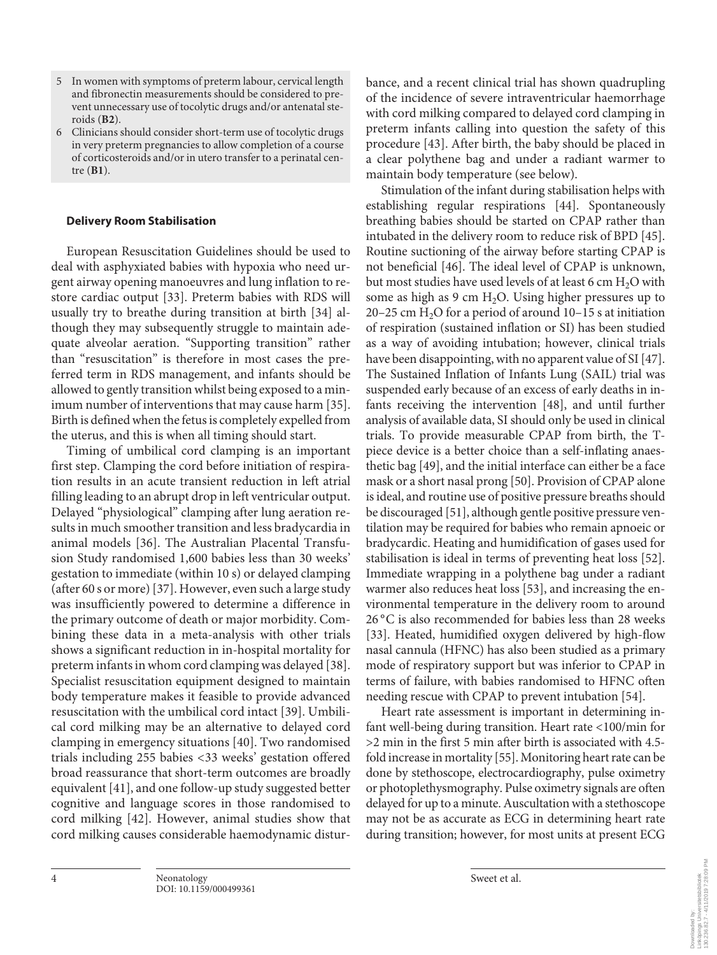- 5 In women with symptoms of preterm labour, cervical length and fibronectin measurements should be considered to prevent unnecessary use of tocolytic drugs and/or antenatal steroids (**B2**).
- 6 Clinicians should consider short-term use of tocolytic drugs in very preterm pregnancies to allow completion of a course of corticosteroids and/or in utero transfer to a perinatal centre (**B1**).

### **Delivery Room Stabilisation**

European Resuscitation Guidelines should be used to deal with asphyxiated babies with hypoxia who need urgent airway opening manoeuvres and lung inflation to restore cardiac output [33]. Preterm babies with RDS will usually try to breathe during transition at birth [34] although they may subsequently struggle to maintain adequate alveolar aeration. "Supporting transition" rather than "resuscitation" is therefore in most cases the preferred term in RDS management, and infants should be allowed to gently transition whilst being exposed to a minimum number of interventions that may cause harm [35]. Birth is defined when the fetus is completely expelled from the uterus, and this is when all timing should start.

Timing of umbilical cord clamping is an important first step. Clamping the cord before initiation of respiration results in an acute transient reduction in left atrial filling leading to an abrupt drop in left ventricular output. Delayed "physiological" clamping after lung aeration results in much smoother transition and less bradycardia in animal models [36]. The Australian Placental Transfusion Study randomised 1,600 babies less than 30 weeks' gestation to immediate (within 10 s) or delayed clamping (after 60 s or more) [37]. However, even such a large study was insufficiently powered to determine a difference in the primary outcome of death or major morbidity. Combining these data in a meta-analysis with other trials shows a significant reduction in in-hospital mortality for preterm infants in whom cord clamping was delayed [38]. Specialist resuscitation equipment designed to maintain body temperature makes it feasible to provide advanced resuscitation with the umbilical cord intact [39]. Umbilical cord milking may be an alternative to delayed cord clamping in emergency situations [40]. Two randomised trials including 255 babies <33 weeks' gestation offered broad reassurance that short-term outcomes are broadly equivalent [41], and one follow-up study suggested better cognitive and language scores in those randomised to cord milking [42]. However, animal studies show that cord milking causes considerable haemodynamic disturbance, and a recent clinical trial has shown quadrupling of the incidence of severe intraventricular haemorrhage with cord milking compared to delayed cord clamping in preterm infants calling into question the safety of this procedure [43]. After birth, the baby should be placed in a clear polythene bag and under a radiant warmer to maintain body temperature (see below).

Stimulation of the infant during stabilisation helps with establishing regular respirations [44]. Spontaneously breathing babies should be started on CPAP rather than intubated in the delivery room to reduce risk of BPD [45]. Routine suctioning of the airway before starting CPAP is not beneficial [46]. The ideal level of CPAP is unknown, but most studies have used levels of at least 6 cm H<sub>2</sub>O with some as high as 9 cm  $H_2O$ . Using higher pressures up to 20–25 cm  $H<sub>2</sub>O$  for a period of around 10–15 s at initiation of respiration (sustained inflation or SI) has been studied as a way of avoiding intubation; however, clinical trials have been disappointing, with no apparent value of SI [47]. The Sustained Inflation of Infants Lung (SAIL) trial was suspended early because of an excess of early deaths in infants receiving the intervention [48], and until further analysis of available data, SI should only be used in clinical trials. To provide measurable CPAP from birth, the Tpiece device is a better choice than a self-inflating anaesthetic bag [49], and the initial interface can either be a face mask or a short nasal prong [50]. Provision of CPAP alone is ideal, and routine use of positive pressure breaths should be discouraged [51], although gentle positive pressure ventilation may be required for babies who remain apnoeic or bradycardic. Heating and humidification of gases used for stabilisation is ideal in terms of preventing heat loss [52]. Immediate wrapping in a polythene bag under a radiant warmer also reduces heat loss [53], and increasing the environmental temperature in the delivery room to around 26 °C is also recommended for babies less than 28 weeks [33]. Heated, humidified oxygen delivered by high-flow nasal cannula (HFNC) has also been studied as a primary mode of respiratory support but was inferior to CPAP in terms of failure, with babies randomised to HFNC often needing rescue with CPAP to prevent intubation [54].

Heart rate assessment is important in determining infant well-being during transition. Heart rate <100/min for >2 min in the first 5 min after birth is associated with 4.5 fold increase in mortality [55]. Monitoring heart rate can be done by stethoscope, electrocardiography, pulse oximetry or photoplethysmography. Pulse oximetry signals are often delayed for up to a minute. Auscultation with a stethoscope may not be as accurate as ECG in determining heart rate during transition; however, for most units at present ECG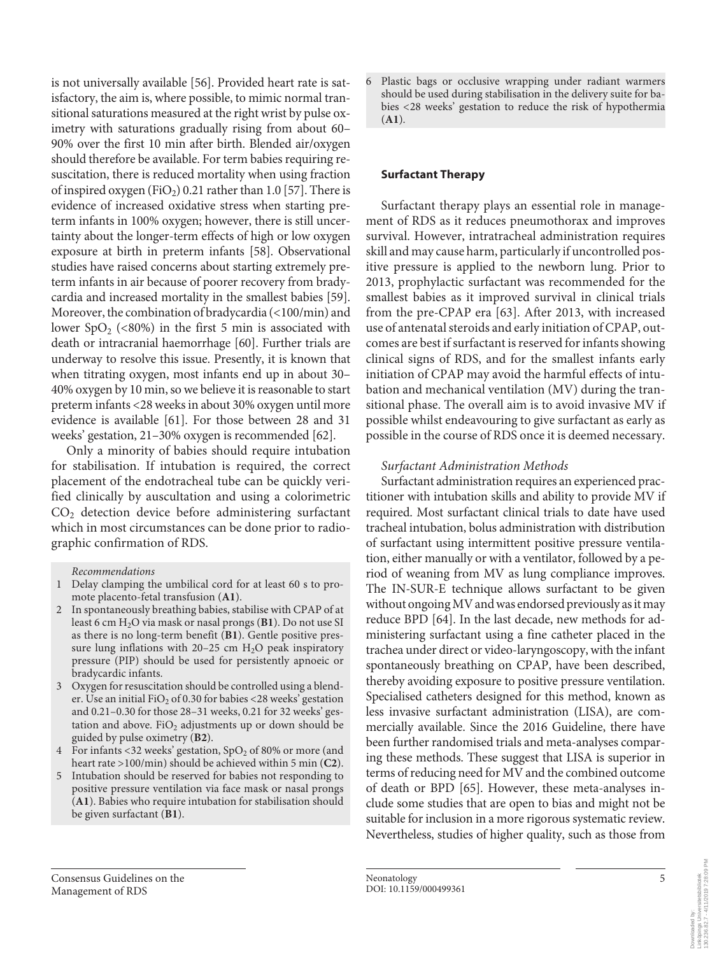is not universally available [56]. Provided heart rate is satisfactory, the aim is, where possible, to mimic normal transitional saturations measured at the right wrist by pulse oximetry with saturations gradually rising from about 60– 90% over the first 10 min after birth. Blended air/oxygen should therefore be available. For term babies requiring resuscitation, there is reduced mortality when using fraction of inspired oxygen (FiO<sub>2</sub>) 0.21 rather than 1.0 [57]. There is evidence of increased oxidative stress when starting preterm infants in 100% oxygen; however, there is still uncertainty about the longer-term effects of high or low oxygen exposure at birth in preterm infants [58]. Observational studies have raised concerns about starting extremely preterm infants in air because of poorer recovery from bradycardia and increased mortality in the smallest babies [59]. Moreover, the combination of bradycardia (<100/min) and lower SpO<sub>2</sub> (<80%) in the first 5 min is associated with death or intracranial haemorrhage [60]. Further trials are underway to resolve this issue. Presently, it is known that when titrating oxygen, most infants end up in about 30– 40% oxygen by 10 min, so we believe it is reasonable to start preterm infants <28 weeks in about 30% oxygen until more evidence is available [61]. For those between 28 and 31 weeks' gestation, 21–30% oxygen is recommended [62].

Only a minority of babies should require intubation for stabilisation. If intubation is required, the correct placement of the endotracheal tube can be quickly verified clinically by auscultation and using a colorimetric  $CO<sub>2</sub>$  detection device before administering surfactant which in most circumstances can be done prior to radiographic confirmation of RDS.

*Recommendations*

- 1 Delay clamping the umbilical cord for at least 60 s to promote placento-fetal transfusion (**A1**).
- 2 In spontaneously breathing babies, stabilise with CPAP of at least 6 cm H2O via mask or nasal prongs (**B1**). Do not use SI as there is no long-term benefit (**B1**). Gentle positive pressure lung inflations with  $20-25$  cm  $H<sub>2</sub>O$  peak inspiratory pressure (PIP) should be used for persistently apnoeic or bradycardic infants.
- 3 Oxygen for resuscitation should be controlled using a blender. Use an initial  $FiO<sub>2</sub>$  of 0.30 for babies <28 weeks' gestation and 0.21–0.30 for those 28–31 weeks, 0.21 for 32 weeks' gestation and above. FiO<sub>2</sub> adjustments up or down should be guided by pulse oximetry (**B2**).
- 4 For infants <32 weeks' gestation,  $SpO<sub>2</sub>$  of 80% or more (and heart rate >100/min) should be achieved within 5 min (**C2**).
- 5 Intubation should be reserved for babies not responding to positive pressure ventilation via face mask or nasal prongs (**A1**). Babies who require intubation for stabilisation should be given surfactant (**B1**).

6 Plastic bags or occlusive wrapping under radiant warmers should be used during stabilisation in the delivery suite for babies <28 weeks' gestation to reduce the risk of hypothermia (**A1**).

## **Surfactant Therapy**

Surfactant therapy plays an essential role in management of RDS as it reduces pneumothorax and improves survival. However, intratracheal administration requires skill and may cause harm, particularly if uncontrolled positive pressure is applied to the newborn lung. Prior to 2013, prophylactic surfactant was recommended for the smallest babies as it improved survival in clinical trials from the pre-CPAP era [63]. After 2013, with increased use of antenatal steroids and early initiation of CPAP, outcomes are best if surfactant is reserved for infants showing clinical signs of RDS, and for the smallest infants early initiation of CPAP may avoid the harmful effects of intubation and mechanical ventilation (MV) during the transitional phase. The overall aim is to avoid invasive MV if possible whilst endeavouring to give surfactant as early as possible in the course of RDS once it is deemed necessary.

# *Surfactant Administration Methods*

Surfactant administration requires an experienced practitioner with intubation skills and ability to provide MV if required. Most surfactant clinical trials to date have used tracheal intubation, bolus administration with distribution of surfactant using intermittent positive pressure ventilation, either manually or with a ventilator, followed by a period of weaning from MV as lung compliance improves. The IN-SUR-E technique allows surfactant to be given without ongoing MV and was endorsed previously as it may reduce BPD [64]. In the last decade, new methods for administering surfactant using a fine catheter placed in the trachea under direct or video-laryngoscopy, with the infant spontaneously breathing on CPAP, have been described, thereby avoiding exposure to positive pressure ventilation. Specialised catheters designed for this method, known as less invasive surfactant administration (LISA), are commercially available. Since the 2016 Guideline, there have been further randomised trials and meta-analyses comparing these methods. These suggest that LISA is superior in terms of reducing need for MV and the combined outcome of death or BPD [65]. However, these meta-analyses include some studies that are open to bias and might not be suitable for inclusion in a more rigorous systematic review. Nevertheless, studies of higher quality, such as those from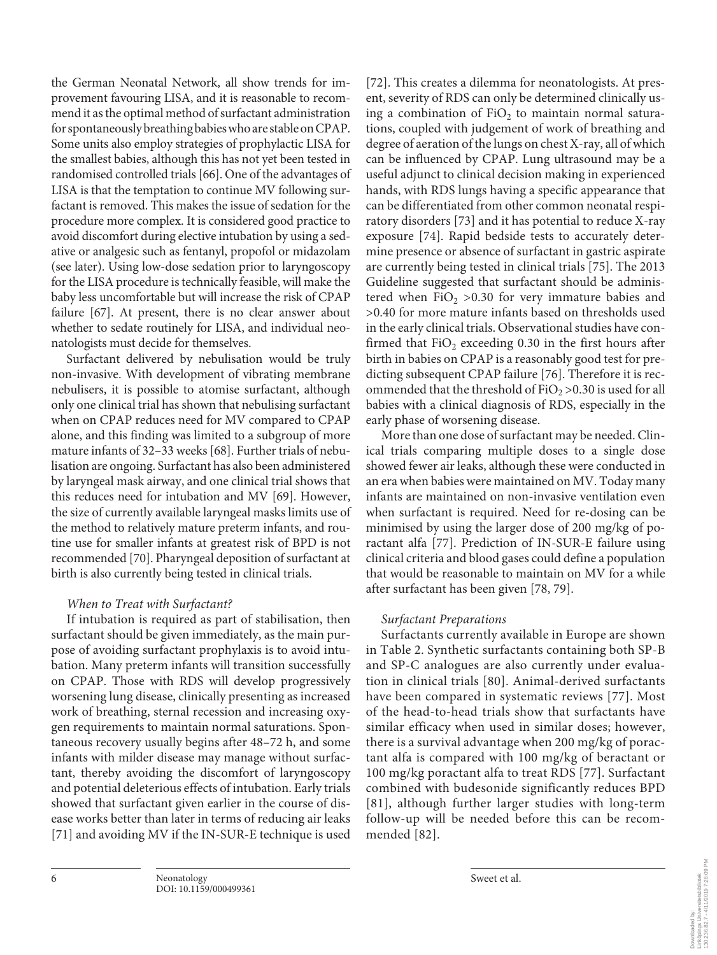the German Neonatal Network, all show trends for improvement favouring LISA, and it is reasonable to recommend it as the optimal method of surfactant administration for spontaneously breathing babies who are stable on CPAP. Some units also employ strategies of prophylactic LISA for the smallest babies, although this has not yet been tested in randomised controlled trials [66]. One of the advantages of LISA is that the temptation to continue MV following surfactant is removed. This makes the issue of sedation for the procedure more complex. It is considered good practice to avoid discomfort during elective intubation by using a sedative or analgesic such as fentanyl, propofol or midazolam (see later). Using low-dose sedation prior to laryngoscopy for the LISA procedure is technically feasible, will make the baby less uncomfortable but will increase the risk of CPAP failure [67]. At present, there is no clear answer about whether to sedate routinely for LISA, and individual neonatologists must decide for themselves.

Surfactant delivered by nebulisation would be truly non-invasive. With development of vibrating membrane nebulisers, it is possible to atomise surfactant, although only one clinical trial has shown that nebulising surfactant when on CPAP reduces need for MV compared to CPAP alone, and this finding was limited to a subgroup of more mature infants of 32–33 weeks [68]. Further trials of nebulisation are ongoing. Surfactant has also been administered by laryngeal mask airway, and one clinical trial shows that this reduces need for intubation and MV [69]. However, the size of currently available laryngeal masks limits use of the method to relatively mature preterm infants, and routine use for smaller infants at greatest risk of BPD is not recommended [70]. Pharyngeal deposition of surfactant at birth is also currently being tested in clinical trials.

# *When to Treat with Surfactant?*

If intubation is required as part of stabilisation, then surfactant should be given immediately, as the main purpose of avoiding surfactant prophylaxis is to avoid intubation. Many preterm infants will transition successfully on CPAP. Those with RDS will develop progressively worsening lung disease, clinically presenting as increased work of breathing, sternal recession and increasing oxygen requirements to maintain normal saturations. Spontaneous recovery usually begins after 48–72 h, and some infants with milder disease may manage without surfactant, thereby avoiding the discomfort of laryngoscopy and potential deleterious effects of intubation. Early trials showed that surfactant given earlier in the course of disease works better than later in terms of reducing air leaks [71] and avoiding MV if the IN-SUR-E technique is used

[72]. This creates a dilemma for neonatologists. At present, severity of RDS can only be determined clinically using a combination of  $FiO<sub>2</sub>$  to maintain normal saturations, coupled with judgement of work of breathing and degree of aeration of the lungs on chest X-ray, all of which can be influenced by CPAP. Lung ultrasound may be a useful adjunct to clinical decision making in experienced hands, with RDS lungs having a specific appearance that can be differentiated from other common neonatal respiratory disorders [73] and it has potential to reduce X-ray exposure [74]. Rapid bedside tests to accurately determine presence or absence of surfactant in gastric aspirate are currently being tested in clinical trials [75]. The 2013 Guideline suggested that surfactant should be administered when  $FiO<sub>2</sub> > 0.30$  for very immature babies and >0.40 for more mature infants based on thresholds used in the early clinical trials. Observational studies have confirmed that  $FiO<sub>2</sub>$  exceeding 0.30 in the first hours after birth in babies on CPAP is a reasonably good test for predicting subsequent CPAP failure [76]. Therefore it is recommended that the threshold of  $FiO_2 > 0.30$  is used for all babies with a clinical diagnosis of RDS, especially in the early phase of worsening disease.

More than one dose of surfactant may be needed. Clinical trials comparing multiple doses to a single dose showed fewer air leaks, although these were conducted in an era when babies were maintained on MV. Today many infants are maintained on non-invasive ventilation even when surfactant is required. Need for re-dosing can be minimised by using the larger dose of 200 mg/kg of poractant alfa [77]. Prediction of IN-SUR-E failure using clinical criteria and blood gases could define a population that would be reasonable to maintain on MV for a while after surfactant has been given [78, 79].

# *Surfactant Preparations*

Surfactants currently available in Europe are shown in Table 2. Synthetic surfactants containing both SP-B and SP-C analogues are also currently under evaluation in clinical trials [80]. Animal-derived surfactants have been compared in systematic reviews [77]. Most of the head-to-head trials show that surfactants have similar efficacy when used in similar doses; however, there is a survival advantage when 200 mg/kg of poractant alfa is compared with 100 mg/kg of beractant or 100 mg/kg poractant alfa to treat RDS [77]. Surfactant combined with budesonide significantly reduces BPD [81], although further larger studies with long-term follow-up will be needed before this can be recommended [82].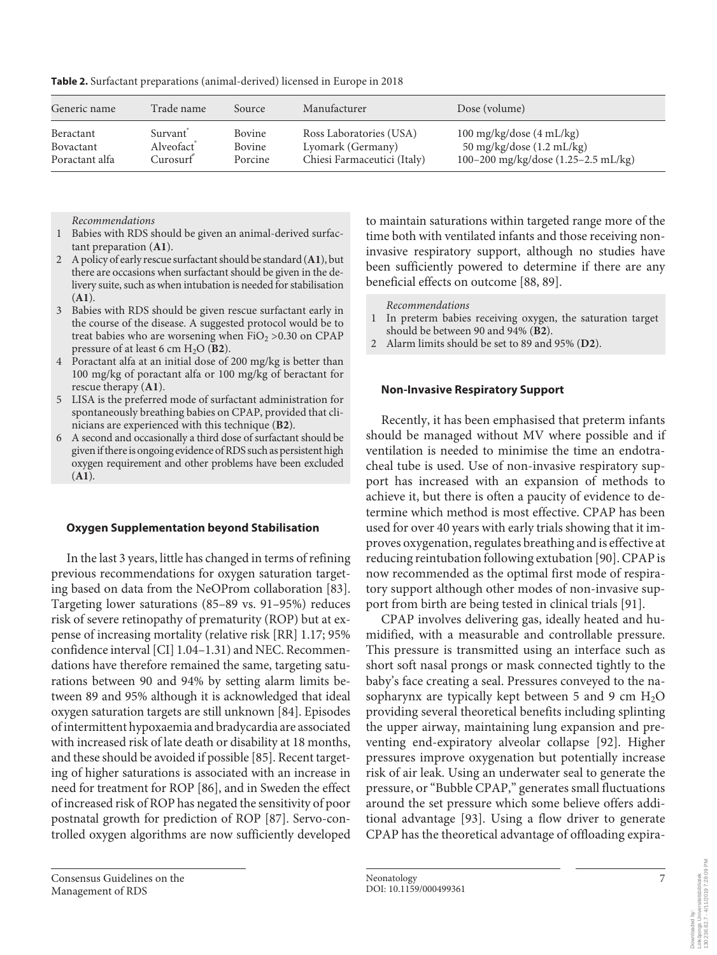| Generic name   | Trade name | Source  | Manufacturer                | Dose (volume)                       |
|----------------|------------|---------|-----------------------------|-------------------------------------|
| Beractant      | Survant    | Bovine  | Ross Laboratories (USA)     | 100 mg/kg/dose $(4 \text{ mL/kg})$  |
| Bovactant      | Alveofact  | Bovine  | Lyomark (Germany)           | 50 mg/kg/dose (1.2 mL/kg)           |
| Poractant alfa | Curosurf   | Porcine | Chiesi Farmaceutici (Italy) | 100-200 mg/kg/dose (1.25-2.5 mL/kg) |

**Table 2.** Surfactant preparations (animal-derived) licensed in Europe in 2018

*Recommendations*

- 1 Babies with RDS should be given an animal-derived surfactant preparation (**A1**).
- 2 A policy of early rescue surfactant should be standard (**A1**), but there are occasions when surfactant should be given in the delivery suite, such as when intubation is needed for stabilisation (**A1**).
- 3 Babies with RDS should be given rescue surfactant early in the course of the disease. A suggested protocol would be to treat babies who are worsening when  $FiO<sub>2</sub> > 0.30$  on CPAP pressure of at least 6 cm H2O (**B2**).
- 4 Poractant alfa at an initial dose of 200 mg/kg is better than 100 mg/kg of poractant alfa or 100 mg/kg of beractant for rescue therapy (**A1**).
- 5 LISA is the preferred mode of surfactant administration for spontaneously breathing babies on CPAP, provided that clinicians are experienced with this technique (**B2**).
- 6 A second and occasionally a third dose of surfactant should be given if there is ongoing evidence of RDS such as persistent high oxygen requirement and other problems have been excluded (**A1**).

#### **Oxygen Supplementation beyond Stabilisation**

In the last 3 years, little has changed in terms of refining previous recommendations for oxygen saturation targeting based on data from the NeOProm collaboration [83]. Targeting lower saturations (85–89 vs. 91–95%) reduces risk of severe retinopathy of prematurity (ROP) but at expense of increasing mortality (relative risk [RR] 1.17; 95% confidence interval [CI] 1.04–1.31) and NEC. Recommendations have therefore remained the same, targeting saturations between 90 and 94% by setting alarm limits between 89 and 95% although it is acknowledged that ideal oxygen saturation targets are still unknown [84]. Episodes of intermittent hypoxaemia and bradycardia are associated with increased risk of late death or disability at 18 months, and these should be avoided if possible [85]. Recent targeting of higher saturations is associated with an increase in need for treatment for ROP [86], and in Sweden the effect of increased risk of ROP has negated the sensitivity of poor postnatal growth for prediction of ROP [87]. Servo-controlled oxygen algorithms are now sufficiently developed

to maintain saturations within targeted range more of the time both with ventilated infants and those receiving noninvasive respiratory support, although no studies have been sufficiently powered to determine if there are any beneficial effects on outcome [88, 89].

*Recommendations*

- 1 In preterm babies receiving oxygen, the saturation target should be between 90 and 94% (**B2**).
- 2 Alarm limits should be set to 89 and 95% (**D2**).

# **Non-Invasive Respiratory Support**

Recently, it has been emphasised that preterm infants should be managed without MV where possible and if ventilation is needed to minimise the time an endotracheal tube is used. Use of non-invasive respiratory support has increased with an expansion of methods to achieve it, but there is often a paucity of evidence to determine which method is most effective. CPAP has been used for over 40 years with early trials showing that it improves oxygenation, regulates breathing and is effective at reducing reintubation following extubation [90]. CPAP is now recommended as the optimal first mode of respiratory support although other modes of non-invasive support from birth are being tested in clinical trials [91].

CPAP involves delivering gas, ideally heated and humidified, with a measurable and controllable pressure. This pressure is transmitted using an interface such as short soft nasal prongs or mask connected tightly to the baby's face creating a seal. Pressures conveyed to the nasopharynx are typically kept between 5 and 9 cm  $H_2O$ providing several theoretical benefits including splinting the upper airway, maintaining lung expansion and preventing end-expiratory alveolar collapse [92]. Higher pressures improve oxygenation but potentially increase risk of air leak. Using an underwater seal to generate the pressure, or "Bubble CPAP," generates small fluctuations around the set pressure which some believe offers additional advantage [93]. Using a flow driver to generate CPAP has the theoretical advantage of offloading expira-

Consensus Guidelines on the Management of RDS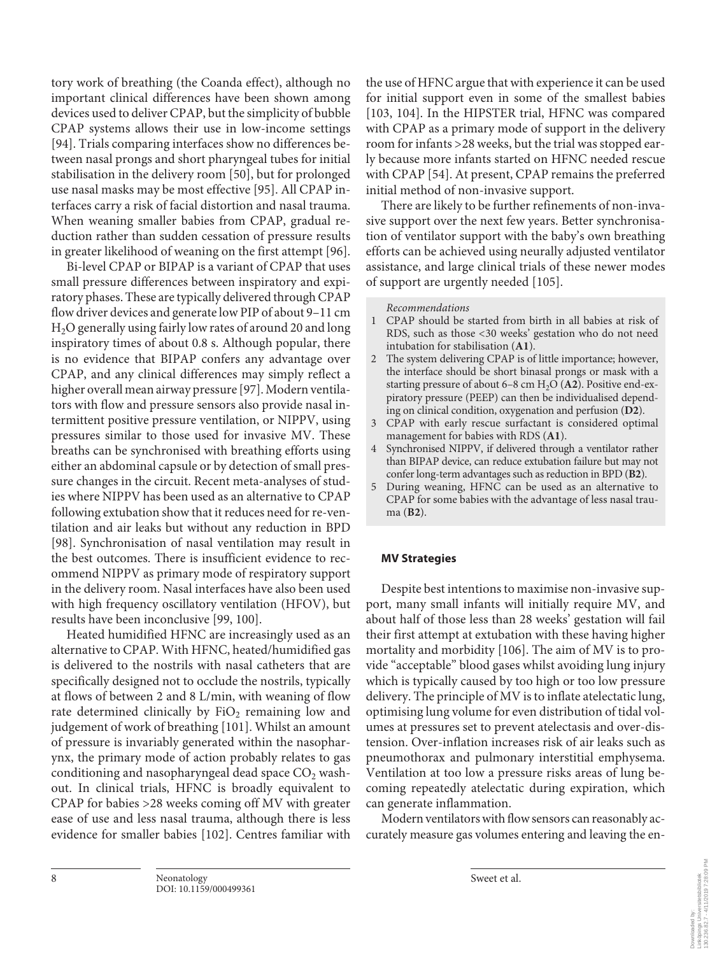tory work of breathing (the Coanda effect), although no important clinical differences have been shown among devices used to deliver CPAP, but the simplicity of bubble CPAP systems allows their use in low-income settings [94]. Trials comparing interfaces show no differences between nasal prongs and short pharyngeal tubes for initial stabilisation in the delivery room [50], but for prolonged use nasal masks may be most effective [95]. All CPAP interfaces carry a risk of facial distortion and nasal trauma. When weaning smaller babies from CPAP, gradual reduction rather than sudden cessation of pressure results in greater likelihood of weaning on the first attempt [96].

Bi-level CPAP or BIPAP is a variant of CPAP that uses small pressure differences between inspiratory and expiratory phases. These are typically delivered through CPAP flow driver devices and generate low PIP of about 9–11 cm H2O generally using fairly low rates of around 20 and long inspiratory times of about 0.8 s. Although popular, there is no evidence that BIPAP confers any advantage over CPAP, and any clinical differences may simply reflect a higher overall mean airway pressure [97]. Modern ventilators with flow and pressure sensors also provide nasal intermittent positive pressure ventilation, or NIPPV, using pressures similar to those used for invasive MV. These breaths can be synchronised with breathing efforts using either an abdominal capsule or by detection of small pressure changes in the circuit. Recent meta-analyses of studies where NIPPV has been used as an alternative to CPAP following extubation show that it reduces need for re-ventilation and air leaks but without any reduction in BPD [98]. Synchronisation of nasal ventilation may result in the best outcomes. There is insufficient evidence to recommend NIPPV as primary mode of respiratory support in the delivery room. Nasal interfaces have also been used with high frequency oscillatory ventilation (HFOV), but results have been inconclusive [99, 100].

Heated humidified HFNC are increasingly used as an alternative to CPAP. With HFNC, heated/humidified gas is delivered to the nostrils with nasal catheters that are specifically designed not to occlude the nostrils, typically at flows of between 2 and 8 L/min, with weaning of flow rate determined clinically by  $FiO<sub>2</sub>$  remaining low and judgement of work of breathing [101]. Whilst an amount of pressure is invariably generated within the nasopharynx, the primary mode of action probably relates to gas conditioning and nasopharyngeal dead space  $CO<sub>2</sub>$  washout. In clinical trials, HFNC is broadly equivalent to CPAP for babies >28 weeks coming off MV with greater ease of use and less nasal trauma, although there is less evidence for smaller babies [102]. Centres familiar with

the use of HFNC argue that with experience it can be used for initial support even in some of the smallest babies [103, 104]. In the HIPSTER trial, HFNC was compared with CPAP as a primary mode of support in the delivery room for infants >28 weeks, but the trial was stopped early because more infants started on HFNC needed rescue with CPAP [54]. At present, CPAP remains the preferred initial method of non-invasive support.

There are likely to be further refinements of non-invasive support over the next few years. Better synchronisation of ventilator support with the baby's own breathing efforts can be achieved using neurally adjusted ventilator assistance, and large clinical trials of these newer modes of support are urgently needed [105].

#### *Recommendations*

- 1 CPAP should be started from birth in all babies at risk of RDS, such as those <30 weeks' gestation who do not need intubation for stabilisation (**A1**).
- 2 The system delivering CPAP is of little importance; however, the interface should be short binasal prongs or mask with a starting pressure of about 6–8 cm H2O (**A2**). Positive end-expiratory pressure (PEEP) can then be individualised depending on clinical condition, oxygenation and perfusion (**D2**).
- 3 CPAP with early rescue surfactant is considered optimal management for babies with RDS (**A1**).
- 4 Synchronised NIPPV, if delivered through a ventilator rather than BIPAP device, can reduce extubation failure but may not confer long-term advantages such as reduction in BPD (**B2**).
- 5 During weaning, HFNC can be used as an alternative to CPAP for some babies with the advantage of less nasal trauma (**B2**).

#### **MV Strategies**

Despite best intentions to maximise non-invasive support, many small infants will initially require MV, and about half of those less than 28 weeks' gestation will fail their first attempt at extubation with these having higher mortality and morbidity [106]. The aim of MV is to provide "acceptable" blood gases whilst avoiding lung injury which is typically caused by too high or too low pressure delivery. The principle of MV is to inflate atelectatic lung, optimising lung volume for even distribution of tidal volumes at pressures set to prevent atelectasis and over-distension. Over-inflation increases risk of air leaks such as pneumothorax and pulmonary interstitial emphysema. Ventilation at too low a pressure risks areas of lung becoming repeatedly atelectatic during expiration, which can generate inflammation.

Modern ventilators with flow sensors can reasonably accurately measure gas volumes entering and leaving the en-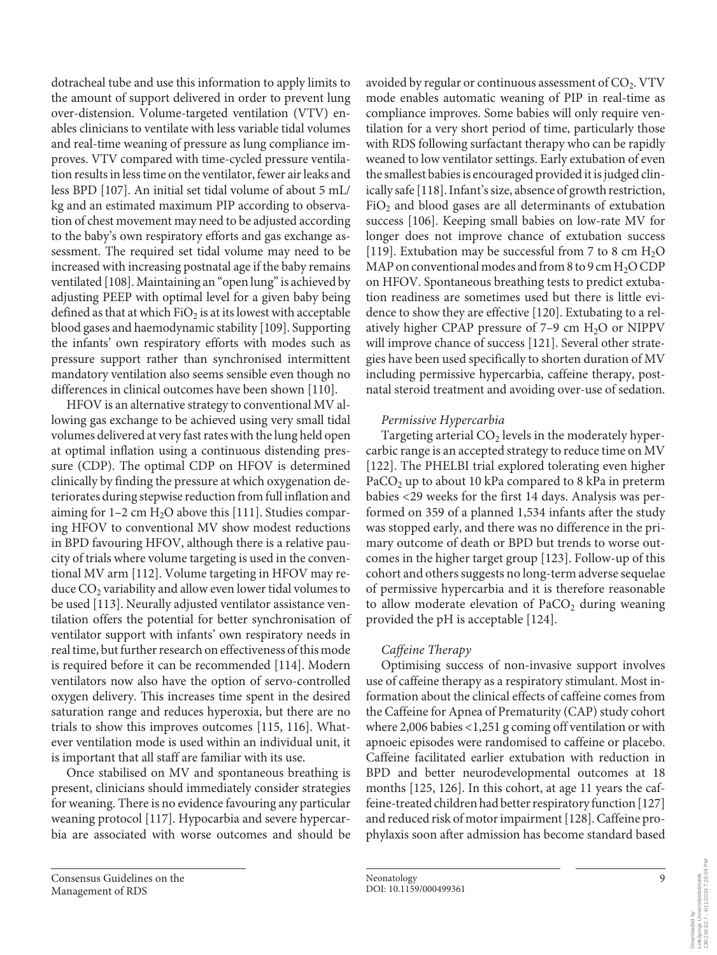dotracheal tube and use this information to apply limits to the amount of support delivered in order to prevent lung over-distension. Volume-targeted ventilation (VTV) enables clinicians to ventilate with less variable tidal volumes and real-time weaning of pressure as lung compliance improves. VTV compared with time-cycled pressure ventilation results in less time on the ventilator, fewer air leaks and less BPD [107]. An initial set tidal volume of about 5 mL/ kg and an estimated maximum PIP according to observation of chest movement may need to be adjusted according to the baby's own respiratory efforts and gas exchange assessment. The required set tidal volume may need to be increased with increasing postnatal age if the baby remains ventilated [108]. Maintaining an "open lung" is achieved by adjusting PEEP with optimal level for a given baby being defined as that at which  $FiO<sub>2</sub>$  is at its lowest with acceptable blood gases and haemodynamic stability [109]. Supporting the infants' own respiratory efforts with modes such as pressure support rather than synchronised intermittent mandatory ventilation also seems sensible even though no differences in clinical outcomes have been shown [110].

HFOV is an alternative strategy to conventional MV allowing gas exchange to be achieved using very small tidal volumes delivered at very fast rates with the lung held open at optimal inflation using a continuous distending pressure (CDP). The optimal CDP on HFOV is determined clinically by finding the pressure at which oxygenation deteriorates during stepwise reduction from full inflation and aiming for  $1-2$  cm  $H_2O$  above this [111]. Studies comparing HFOV to conventional MV show modest reductions in BPD favouring HFOV, although there is a relative paucity of trials where volume targeting is used in the conventional MV arm [112]. Volume targeting in HFOV may reduce  $CO<sub>2</sub>$  variability and allow even lower tidal volumes to be used [113]. Neurally adjusted ventilator assistance ventilation offers the potential for better synchronisation of ventilator support with infants' own respiratory needs in real time, but further research on effectiveness of this mode is required before it can be recommended [114]. Modern ventilators now also have the option of servo-controlled oxygen delivery. This increases time spent in the desired saturation range and reduces hyperoxia, but there are no trials to show this improves outcomes [115, 116]. Whatever ventilation mode is used within an individual unit, it is important that all staff are familiar with its use.

Once stabilised on MV and spontaneous breathing is present, clinicians should immediately consider strategies for weaning. There is no evidence favouring any particular weaning protocol [117]. Hypocarbia and severe hypercarbia are associated with worse outcomes and should be avoided by regular or continuous assessment of  $CO<sub>2</sub>$ . VTV mode enables automatic weaning of PIP in real-time as compliance improves. Some babies will only require ventilation for a very short period of time, particularly those with RDS following surfactant therapy who can be rapidly weaned to low ventilator settings. Early extubation of even the smallest babies is encouraged provided it is judged clinically safe [118]. Infant's size, absence of growth restriction,  $FiO<sub>2</sub>$  and blood gases are all determinants of extubation success [106]. Keeping small babies on low-rate MV for longer does not improve chance of extubation success [119]. Extubation may be successful from 7 to 8 cm  $H_2O$ MAP on conventional modes and from 8 to 9 cm  $H_2O$  CDP on HFOV. Spontaneous breathing tests to predict extubation readiness are sometimes used but there is little evidence to show they are effective [120]. Extubating to a relatively higher CPAP pressure of  $7-9$  cm  $H<sub>2</sub>O$  or NIPPV will improve chance of success [121]. Several other strategies have been used specifically to shorten duration of MV including permissive hypercarbia, caffeine therapy, postnatal steroid treatment and avoiding over-use of sedation.

# *Permissive Hypercarbia*

Targeting arterial  $CO<sub>2</sub>$  levels in the moderately hypercarbic range is an accepted strategy to reduce time on MV [122]. The PHELBI trial explored tolerating even higher PaCO<sub>2</sub> up to about 10 kPa compared to 8 kPa in preterm babies <29 weeks for the first 14 days. Analysis was performed on 359 of a planned 1,534 infants after the study was stopped early, and there was no difference in the primary outcome of death or BPD but trends to worse outcomes in the higher target group [123]. Follow-up of this cohort and others suggests no long-term adverse sequelae of permissive hypercarbia and it is therefore reasonable to allow moderate elevation of  $PaCO<sub>2</sub>$  during weaning provided the pH is acceptable [124].

# *Caffeine Therapy*

Optimising success of non-invasive support involves use of caffeine therapy as a respiratory stimulant. Most information about the clinical effects of caffeine comes from the Caffeine for Apnea of Prematurity (CAP) study cohort where 2,006 babies <1,251 g coming off ventilation or with apnoeic episodes were randomised to caffeine or placebo. Caffeine facilitated earlier extubation with reduction in BPD and better neurodevelopmental outcomes at 18 months [125, 126]. In this cohort, at age 11 years the caffeine-treated children had better respiratory function [127] and reduced risk of motor impairment [128]. Caffeine prophylaxis soon after admission has become standard based

-inköpings Universitetsbibliotek<br>130.236.82.7 - 4/11/2019 7:28:09 PM 130.236.82.7 - 4/11/2019 7:28:09 PMLinköpings Universitetsbibliotek Downloaded by: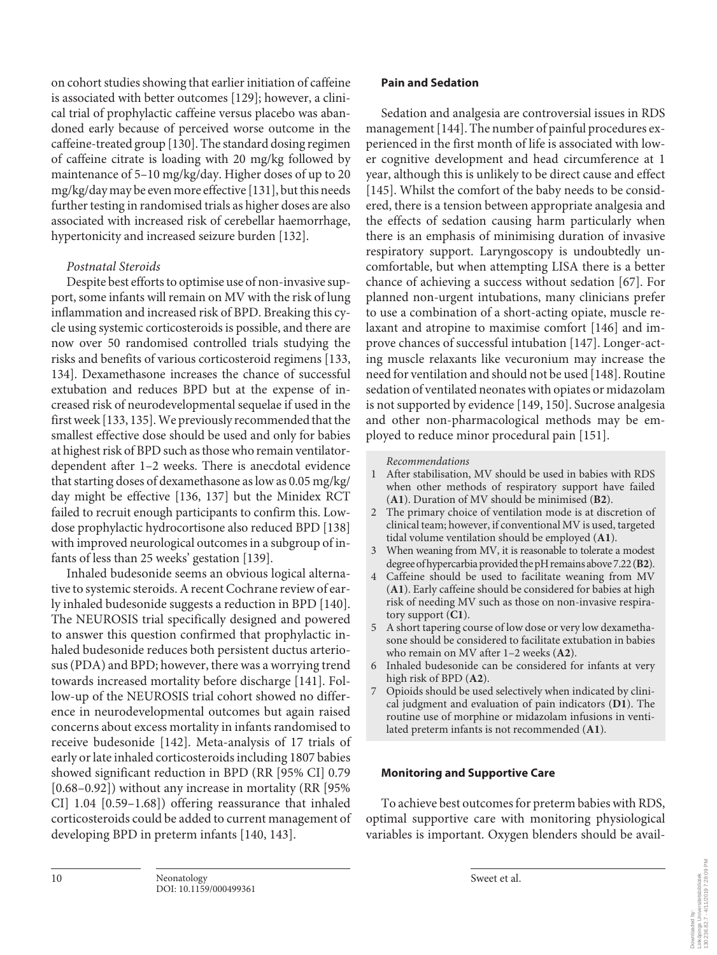on cohort studies showing that earlier initiation of caffeine is associated with better outcomes [129]; however, a clinical trial of prophylactic caffeine versus placebo was abandoned early because of perceived worse outcome in the caffeine-treated group [130]. The standard dosing regimen of caffeine citrate is loading with 20 mg/kg followed by maintenance of 5–10 mg/kg/day. Higher doses of up to 20 mg/kg/day may be even more effective [131], but this needs further testing in randomised trials as higher doses are also associated with increased risk of cerebellar haemorrhage, hypertonicity and increased seizure burden [132].

# *Postnatal Steroids*

Despite best efforts to optimise use of non-invasive support, some infants will remain on MV with the risk of lung inflammation and increased risk of BPD. Breaking this cycle using systemic corticosteroids is possible, and there are now over 50 randomised controlled trials studying the risks and benefits of various corticosteroid regimens [133, 134]. Dexamethasone increases the chance of successful extubation and reduces BPD but at the expense of increased risk of neurodevelopmental sequelae if used in the first week [133, 135]. We previously recommended that the smallest effective dose should be used and only for babies at highest risk of BPD such as those who remain ventilatordependent after 1–2 weeks. There is anecdotal evidence that starting doses of dexamethasone as low as 0.05 mg/kg/ day might be effective [136, 137] but the Minidex RCT failed to recruit enough participants to confirm this. Lowdose prophylactic hydrocortisone also reduced BPD [138] with improved neurological outcomes in a subgroup of infants of less than 25 weeks' gestation [139].

Inhaled budesonide seems an obvious logical alternative to systemic steroids. A recent Cochrane review of early inhaled budesonide suggests a reduction in BPD [140]. The NEUROSIS trial specifically designed and powered to answer this question confirmed that prophylactic inhaled budesonide reduces both persistent ductus arteriosus (PDA) and BPD; however, there was a worrying trend towards increased mortality before discharge [141]. Follow-up of the NEUROSIS trial cohort showed no difference in neurodevelopmental outcomes but again raised concerns about excess mortality in infants randomised to receive budesonide [142]. Meta-analysis of 17 trials of early or late inhaled corticosteroids including 1807 babies showed significant reduction in BPD (RR [95% CI] 0.79 [0.68–0.92]) without any increase in mortality (RR [95% CI] 1.04 [0.59–1.68]) offering reassurance that inhaled corticosteroids could be added to current management of developing BPD in preterm infants [140, 143].

# **Pain and Sedation**

Sedation and analgesia are controversial issues in RDS management [144]. The number of painful procedures experienced in the first month of life is associated with lower cognitive development and head circumference at 1 year, although this is unlikely to be direct cause and effect [145]. Whilst the comfort of the baby needs to be considered, there is a tension between appropriate analgesia and the effects of sedation causing harm particularly when there is an emphasis of minimising duration of invasive respiratory support. Laryngoscopy is undoubtedly uncomfortable, but when attempting LISA there is a better chance of achieving a success without sedation [67]. For planned non-urgent intubations, many clinicians prefer to use a combination of a short-acting opiate, muscle relaxant and atropine to maximise comfort [146] and improve chances of successful intubation [147]. Longer-acting muscle relaxants like vecuronium may increase the need for ventilation and should not be used [148]. Routine sedation of ventilated neonates with opiates or midazolam is not supported by evidence [149, 150]. Sucrose analgesia and other non-pharmacological methods may be employed to reduce minor procedural pain [151].

### *Recommendations*

- 1 After stabilisation, MV should be used in babies with RDS when other methods of respiratory support have failed (**A1**). Duration of MV should be minimised (**B2**).
- 2 The primary choice of ventilation mode is at discretion of clinical team; however, if conventional MV is used, targeted tidal volume ventilation should be employed (**A1**).
- 3 When weaning from MV, it is reasonable to tolerate a modest degree of hypercarbia provided the pH remains above 7.22 (**B2**).
- 4 Caffeine should be used to facilitate weaning from MV (**A1**). Early caffeine should be considered for babies at high risk of needing MV such as those on non-invasive respiratory support (**C1**).
- 5 A short tapering course of low dose or very low dexamethasone should be considered to facilitate extubation in babies who remain on MV after 1–2 weeks (**A2**).
- 6 Inhaled budesonide can be considered for infants at very high risk of BPD (**A2**).
- 7 Opioids should be used selectively when indicated by clinical judgment and evaluation of pain indicators (**D1**). The routine use of morphine or midazolam infusions in ventilated preterm infants is not recommended (**A1**).

# **Monitoring and Supportive Care**

To achieve best outcomes for preterm babies with RDS, optimal supportive care with monitoring physiological variables is important. Oxygen blenders should be avail-

Dominicacion oy:<br>Linköpings Universitetsbibliotek<br>130.236.82.7 - 4/11/2019 7:28:09 PM 130.236.82.7 - 4/11/2019 7:28:09 PMLinköpings Universitetsbibliotek Downloaded by: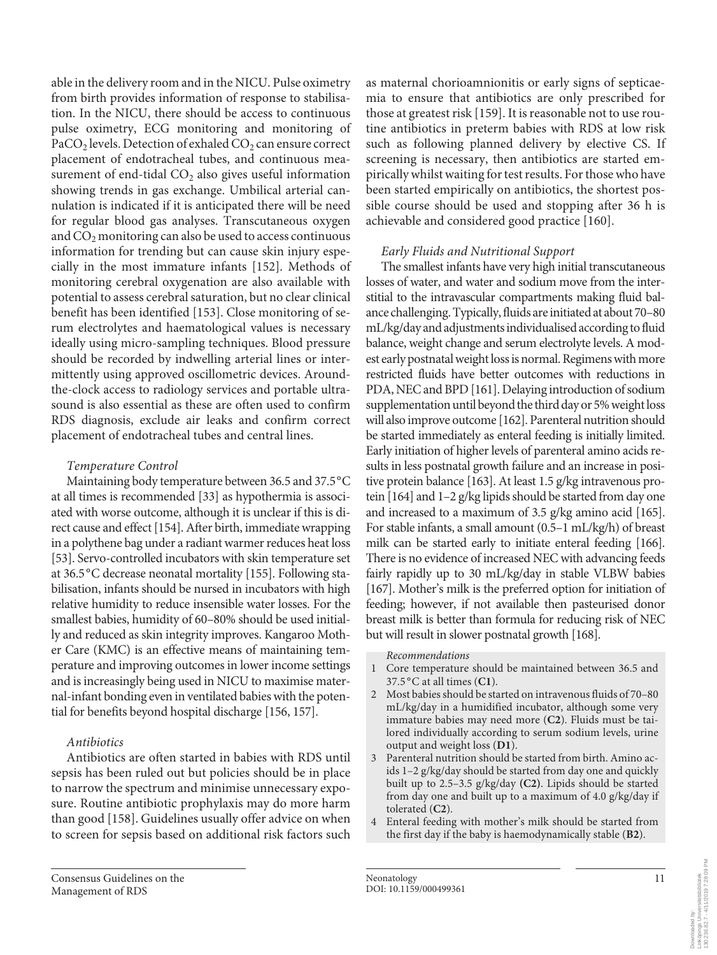able in the delivery room and in the NICU. Pulse oximetry from birth provides information of response to stabilisation. In the NICU, there should be access to continuous pulse oximetry, ECG monitoring and monitoring of PaCO<sub>2</sub> levels. Detection of exhaled  $CO<sub>2</sub>$  can ensure correct placement of endotracheal tubes, and continuous measurement of end-tidal  $CO<sub>2</sub>$  also gives useful information showing trends in gas exchange. Umbilical arterial cannulation is indicated if it is anticipated there will be need for regular blood gas analyses. Transcutaneous oxygen and  $CO<sub>2</sub>$  monitoring can also be used to access continuous information for trending but can cause skin injury especially in the most immature infants [152]. Methods of monitoring cerebral oxygenation are also available with potential to assess cerebral saturation, but no clear clinical benefit has been identified [153]. Close monitoring of serum electrolytes and haematological values is necessary ideally using micro-sampling techniques. Blood pressure should be recorded by indwelling arterial lines or intermittently using approved oscillometric devices. Aroundthe-clock access to radiology services and portable ultrasound is also essential as these are often used to confirm RDS diagnosis, exclude air leaks and confirm correct placement of endotracheal tubes and central lines.

# *Temperature Control*

Maintaining body temperature between 36.5 and 37.5 °C at all times is recommended [33] as hypothermia is associated with worse outcome, although it is unclear if this is direct cause and effect [154]. After birth, immediate wrapping in a polythene bag under a radiant warmer reduces heat loss [53]. Servo-controlled incubators with skin temperature set at 36.5 °C decrease neonatal mortality [155]. Following stabilisation, infants should be nursed in incubators with high relative humidity to reduce insensible water losses. For the smallest babies, humidity of 60–80% should be used initially and reduced as skin integrity improves. Kangaroo Mother Care (KMC) is an effective means of maintaining temperature and improving outcomes in lower income settings and is increasingly being used in NICU to maximise maternal-infant bonding even in ventilated babies with the potential for benefits beyond hospital discharge [156, 157].

# *Antibiotics*

Antibiotics are often started in babies with RDS until sepsis has been ruled out but policies should be in place to narrow the spectrum and minimise unnecessary exposure. Routine antibiotic prophylaxis may do more harm than good [158]. Guidelines usually offer advice on when to screen for sepsis based on additional risk factors such as maternal chorioamnionitis or early signs of septicaemia to ensure that antibiotics are only prescribed for those at greatest risk [159]. It is reasonable not to use routine antibiotics in preterm babies with RDS at low risk such as following planned delivery by elective CS. If screening is necessary, then antibiotics are started empirically whilst waiting for test results. For those who have been started empirically on antibiotics, the shortest possible course should be used and stopping after 36 h is achievable and considered good practice [160].

# *Early Fluids and Nutritional Support*

The smallest infants have very high initial transcutaneous losses of water, and water and sodium move from the interstitial to the intravascular compartments making fluid balance challenging. Typically, fluids are initiated at about 70–80 mL/kg/day and adjustments individualised according to fluid balance, weight change and serum electrolyte levels. A modest early postnatal weight loss is normal. Regimens with more restricted fluids have better outcomes with reductions in PDA, NEC and BPD [161]. Delaying introduction of sodium supplementation until beyond the third day or 5% weight loss will also improve outcome [162]. Parenteral nutrition should be started immediately as enteral feeding is initially limited. Early initiation of higher levels of parenteral amino acids results in less postnatal growth failure and an increase in positive protein balance [163]. At least 1.5 g/kg intravenous protein [164] and 1–2 g/kg lipids should be started from day one and increased to a maximum of 3.5 g/kg amino acid [165]. For stable infants, a small amount (0.5–1 mL/kg/h) of breast milk can be started early to initiate enteral feeding [166]. There is no evidence of increased NEC with advancing feeds fairly rapidly up to 30 mL/kg/day in stable VLBW babies [167]. Mother's milk is the preferred option for initiation of feeding; however, if not available then pasteurised donor breast milk is better than formula for reducing risk of NEC but will result in slower postnatal growth [168].

*Recommendations*

- 1 Core temperature should be maintained between 36.5 and 37.5 °C at all times (**C1**).
- 2 Most babies should be started on intravenous fluids of 70–80 mL/kg/day in a humidified incubator, although some very immature babies may need more (**C2**). Fluids must be tailored individually according to serum sodium levels, urine output and weight loss (**D1**).
- 3 Parenteral nutrition should be started from birth. Amino acids 1–2 g/kg/day should be started from day one and quickly built up to 2.5–3.5 g/kg/day **(C2)**. Lipids should be started from day one and built up to a maximum of 4.0 g/kg/day if tolerated (**C2**).
- 4 Enteral feeding with mother's milk should be started from the first day if the baby is haemodynamically stable (**B2**).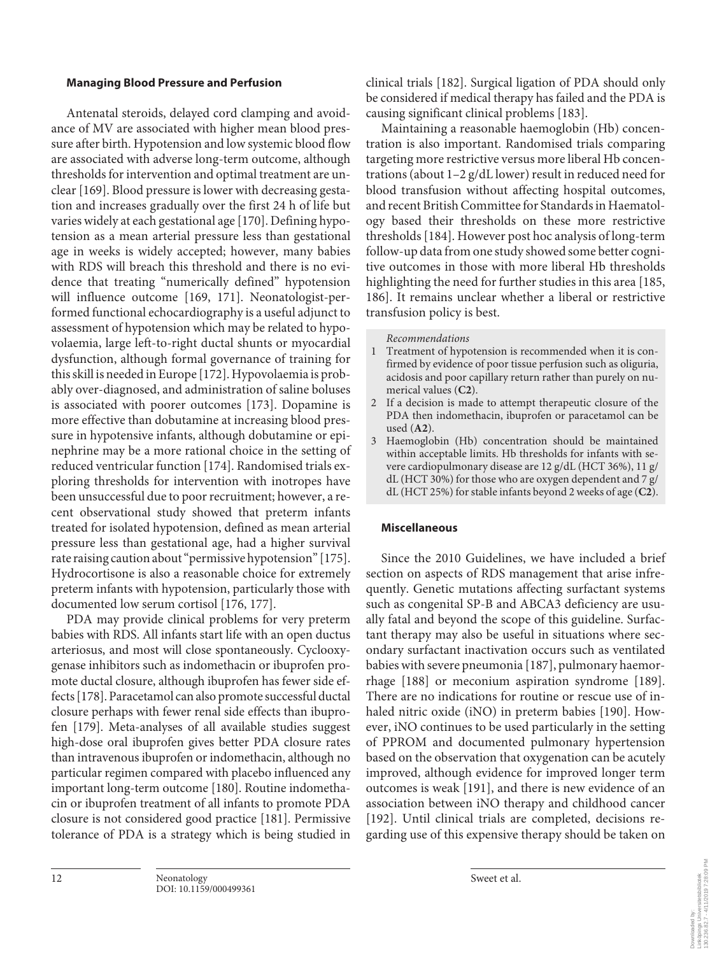## **Managing Blood Pressure and Perfusion**

Antenatal steroids, delayed cord clamping and avoidance of MV are associated with higher mean blood pressure after birth. Hypotension and low systemic blood flow are associated with adverse long-term outcome, although thresholds for intervention and optimal treatment are unclear [169]. Blood pressure is lower with decreasing gestation and increases gradually over the first 24 h of life but varies widely at each gestational age [170]. Defining hypotension as a mean arterial pressure less than gestational age in weeks is widely accepted; however, many babies with RDS will breach this threshold and there is no evidence that treating "numerically defined" hypotension will influence outcome [169, 171]. Neonatologist-performed functional echocardiography is a useful adjunct to assessment of hypotension which may be related to hypovolaemia, large left-to-right ductal shunts or myocardial dysfunction, although formal governance of training for this skill is needed in Europe [172]. Hypovolaemia is probably over-diagnosed, and administration of saline boluses is associated with poorer outcomes [173]. Dopamine is more effective than dobutamine at increasing blood pressure in hypotensive infants, although dobutamine or epinephrine may be a more rational choice in the setting of reduced ventricular function [174]. Randomised trials exploring thresholds for intervention with inotropes have been unsuccessful due to poor recruitment; however, a recent observational study showed that preterm infants treated for isolated hypotension, defined as mean arterial pressure less than gestational age, had a higher survival rate raising caution about "permissive hypotension" [175]. Hydrocortisone is also a reasonable choice for extremely preterm infants with hypotension, particularly those with documented low serum cortisol [176, 177].

PDA may provide clinical problems for very preterm babies with RDS. All infants start life with an open ductus arteriosus, and most will close spontaneously. Cyclooxygenase inhibitors such as indomethacin or ibuprofen promote ductal closure, although ibuprofen has fewer side effects [178]. Paracetamol can also promote successful ductal closure perhaps with fewer renal side effects than ibuprofen [179]. Meta-analyses of all available studies suggest high-dose oral ibuprofen gives better PDA closure rates than intravenous ibuprofen or indomethacin, although no particular regimen compared with placebo influenced any important long-term outcome [180]. Routine indomethacin or ibuprofen treatment of all infants to promote PDA closure is not considered good practice [181]. Permissive tolerance of PDA is a strategy which is being studied in

clinical trials [182]. Surgical ligation of PDA should only be considered if medical therapy has failed and the PDA is causing significant clinical problems [183].

Maintaining a reasonable haemoglobin (Hb) concentration is also important. Randomised trials comparing targeting more restrictive versus more liberal Hb concentrations (about 1–2 g/dL lower) result in reduced need for blood transfusion without affecting hospital outcomes, and recent British Committee for Standards in Haematology based their thresholds on these more restrictive thresholds [184]. However post hoc analysis of long-term follow-up data from one study showed some better cognitive outcomes in those with more liberal Hb thresholds highlighting the need for further studies in this area [185, 186]. It remains unclear whether a liberal or restrictive transfusion policy is best.

#### *Recommendations*

- 1 Treatment of hypotension is recommended when it is confirmed by evidence of poor tissue perfusion such as oliguria, acidosis and poor capillary return rather than purely on numerical values (**C2**).
- 2 If a decision is made to attempt therapeutic closure of the PDA then indomethacin, ibuprofen or paracetamol can be used (**A2**).
- 3 Haemoglobin (Hb) concentration should be maintained within acceptable limits. Hb thresholds for infants with severe cardiopulmonary disease are 12 g/dL (HCT 36%), 11 g/ dL (HCT 30%) for those who are oxygen dependent and 7 g/ dL (HCT 25%) for stable infants beyond 2 weeks of age (**C2**).

#### **Miscellaneous**

Since the 2010 Guidelines, we have included a brief section on aspects of RDS management that arise infrequently. Genetic mutations affecting surfactant systems such as congenital SP-B and ABCA3 deficiency are usually fatal and beyond the scope of this guideline. Surfactant therapy may also be useful in situations where secondary surfactant inactivation occurs such as ventilated babies with severe pneumonia [187], pulmonary haemorrhage [188] or meconium aspiration syndrome [189]. There are no indications for routine or rescue use of inhaled nitric oxide (iNO) in preterm babies [190]. However, iNO continues to be used particularly in the setting of PPROM and documented pulmonary hypertension based on the observation that oxygenation can be acutely improved, although evidence for improved longer term outcomes is weak [191], and there is new evidence of an association between iNO therapy and childhood cancer [192]. Until clinical trials are completed, decisions regarding use of this expensive therapy should be taken on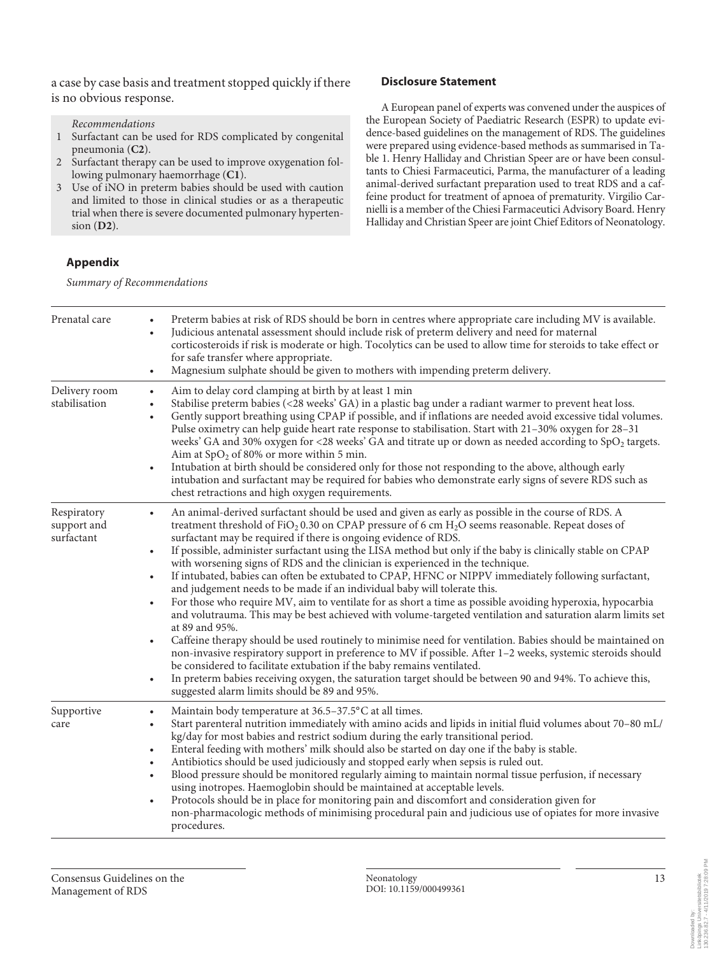a case by case basis and treatment stopped quickly if there is no obvious response.

#### *Recommendations*

- 1 Surfactant can be used for RDS complicated by congenital pneumonia (**C2**).
- 2 Surfactant therapy can be used to improve oxygenation following pulmonary haemorrhage (**C1**).
- 3 Use of iNO in preterm babies should be used with caution and limited to those in clinical studies or as a therapeutic trial when there is severe documented pulmonary hypertension (**D2**).

## **Appendix**

*Summary of Recommendations*

# **Disclosure Statement**

A European panel of experts was convened under the auspices of the European Society of Paediatric Research (ESPR) to update evidence-based guidelines on the management of RDS. The guidelines were prepared using evidence-based methods as summarised in Table 1. Henry Halliday and Christian Speer are or have been consultants to Chiesi Farmaceutici, Parma, the manufacturer of a leading animal-derived surfactant preparation used to treat RDS and a caffeine product for treatment of apnoea of prematurity. Virgilio Carnielli is a member of the Chiesi Farmaceutici Advisory Board. Henry Halliday and Christian Speer are joint Chief Editors of Neonatology.

| Prenatal care                            | Preterm babies at risk of RDS should be born in centres where appropriate care including MV is available.<br>Judicious antenatal assessment should include risk of preterm delivery and need for maternal<br>$\bullet$<br>corticosteroids if risk is moderate or high. Tocolytics can be used to allow time for steroids to take effect or<br>for safe transfer where appropriate.<br>Magnesium sulphate should be given to mothers with impending preterm delivery.<br>$\bullet$                                                                                                                                                                                                                                                                                                                                                                                                                                                                                                                                                                                                                                                                                                                                                                                                                                                                                                                                                                                                   |
|------------------------------------------|-------------------------------------------------------------------------------------------------------------------------------------------------------------------------------------------------------------------------------------------------------------------------------------------------------------------------------------------------------------------------------------------------------------------------------------------------------------------------------------------------------------------------------------------------------------------------------------------------------------------------------------------------------------------------------------------------------------------------------------------------------------------------------------------------------------------------------------------------------------------------------------------------------------------------------------------------------------------------------------------------------------------------------------------------------------------------------------------------------------------------------------------------------------------------------------------------------------------------------------------------------------------------------------------------------------------------------------------------------------------------------------------------------------------------------------------------------------------------------------|
| Delivery room<br>stabilisation           | Aim to delay cord clamping at birth by at least 1 min<br>$\bullet$<br>Stabilise preterm babies (<28 weeks' GA) in a plastic bag under a radiant warmer to prevent heat loss.<br>$\bullet$<br>Gently support breathing using CPAP if possible, and if inflations are needed avoid excessive tidal volumes.<br>$\bullet$<br>Pulse oximetry can help guide heart rate response to stabilisation. Start with 21-30% oxygen for 28-31<br>weeks' GA and 30% oxygen for <28 weeks' GA and titrate up or down as needed according to SpO <sub>2</sub> targets.<br>Aim at $SpO2$ of 80% or more within 5 min.<br>Intubation at birth should be considered only for those not responding to the above, although early<br>$\bullet$<br>intubation and surfactant may be required for babies who demonstrate early signs of severe RDS such as<br>chest retractions and high oxygen requirements.                                                                                                                                                                                                                                                                                                                                                                                                                                                                                                                                                                                               |
| Respiratory<br>support and<br>surfactant | An animal-derived surfactant should be used and given as early as possible in the course of RDS. A<br>$\bullet$<br>treatment threshold of FiO <sub>2</sub> 0.30 on CPAP pressure of 6 cm H <sub>2</sub> O seems reasonable. Repeat doses of<br>surfactant may be required if there is ongoing evidence of RDS.<br>If possible, administer surfactant using the LISA method but only if the baby is clinically stable on CPAP<br>$\bullet$<br>with worsening signs of RDS and the clinician is experienced in the technique.<br>If intubated, babies can often be extubated to CPAP, HFNC or NIPPV immediately following surfactant,<br>$\bullet$<br>and judgement needs to be made if an individual baby will tolerate this.<br>For those who require MV, aim to ventilate for as short a time as possible avoiding hyperoxia, hypocarbia<br>$\bullet$<br>and volutrauma. This may be best achieved with volume-targeted ventilation and saturation alarm limits set<br>at 89 and 95%.<br>Caffeine therapy should be used routinely to minimise need for ventilation. Babies should be maintained on<br>$\bullet$<br>non-invasive respiratory support in preference to MV if possible. After 1-2 weeks, systemic steroids should<br>be considered to facilitate extubation if the baby remains ventilated.<br>In preterm babies receiving oxygen, the saturation target should be between 90 and 94%. To achieve this,<br>$\bullet$<br>suggested alarm limits should be 89 and 95%. |
| Supportive<br>care                       | Maintain body temperature at 36.5-37.5°C at all times.<br>$\bullet$<br>Start parenteral nutrition immediately with amino acids and lipids in initial fluid volumes about 70-80 mL/<br>kg/day for most babies and restrict sodium during the early transitional period.<br>Enteral feeding with mothers' milk should also be started on day one if the baby is stable.<br>$\bullet$<br>Antibiotics should be used judiciously and stopped early when sepsis is ruled out.<br>$\bullet$<br>Blood pressure should be monitored regularly aiming to maintain normal tissue perfusion, if necessary<br>$\bullet$<br>using inotropes. Haemoglobin should be maintained at acceptable levels.<br>Protocols should be in place for monitoring pain and discomfort and consideration given for<br>$\bullet$<br>non-pharmacologic methods of minimising procedural pain and judicious use of opiates for more invasive<br>procedures.                                                                                                                                                                                                                                                                                                                                                                                                                                                                                                                                                         |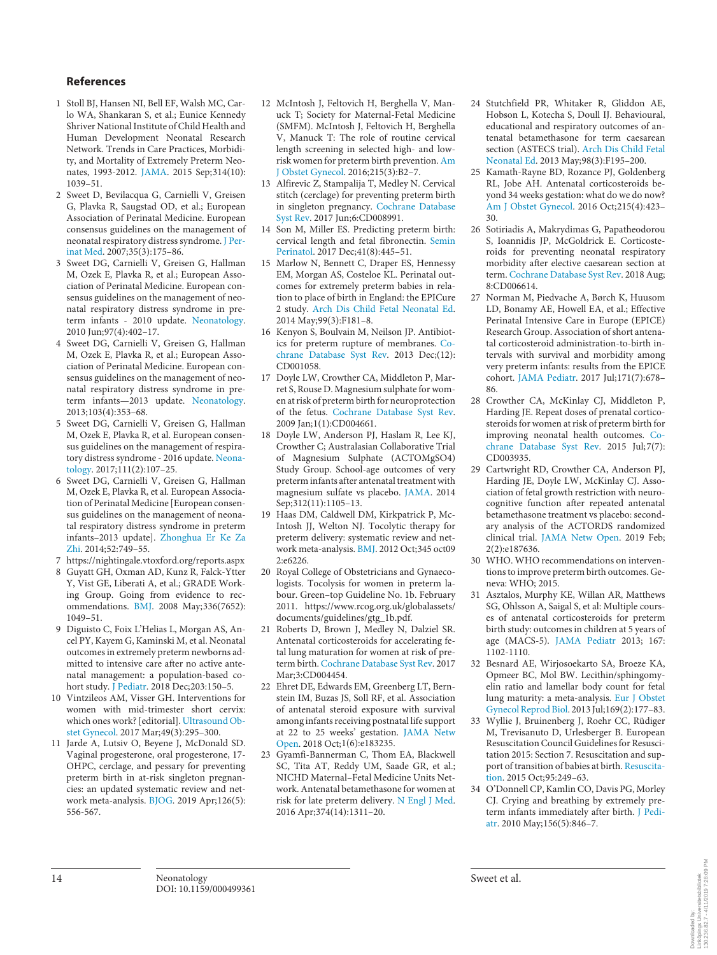### **References**

- 1 Stoll BJ, Hansen NI, Bell EF, Walsh MC, Carlo WA, Shankaran S, et al.; Eunice Kennedy Shriver National Institute of Child Health and Human Development Neonatal Research Network. Trends in Care Practices, Morbidity, and Mortality of Extremely Preterm Neonates, 1993-2012. JAMA. 2015 Sep;314(10): 1039–51.
- 2 Sweet D, Bevilacqua G, Carnielli V, Greisen G, Plavka R, Saugstad OD, et al.; European Association of Perinatal Medicine. European consensus guidelines on the management of neonatal respiratory distress syndrome. J Perinat Med. 2007;35(3):175–86.
- 3 Sweet DG, Carnielli V, Greisen G, Hallman M, Ozek E, Plavka R, et al.; European Association of Perinatal Medicine. European consensus guidelines on the management of neonatal respiratory distress syndrome in preterm infants - 2010 update. Neonatology. 2010 Jun;97(4):402–17.
- 4 Sweet DG, Carnielli V, Greisen G, Hallman M, Ozek E, Plavka R, et al.; European Association of Perinatal Medicine. European consensus guidelines on the management of neonatal respiratory distress syndrome in preterm infants—2013 update. Neonatology. 2013;103(4):353–68.
- 5 Sweet DG, Carnielli V, Greisen G, Hallman M, Ozek E, Plavka R, et al. European consensus guidelines on the management of respiratory distress syndrome - 2016 update. Neonatology. 2017;111(2):107–25.
- 6 Sweet DG, Carnielli V, Greisen G, Hallman M, Ozek E, Plavka R, et al. European Association of Perinatal Medicine [European consensus guidelines on the management of neonatal respiratory distress syndrome in preterm infants–2013 update]. Zhonghua Er Ke Za Zhi. 2014;52:749–55.
- 7 https://nightingale.vtoxford.org/reports.aspx
- 8 Guyatt GH, Oxman AD, Kunz R, Falck-Ytter Y, Vist GE, Liberati A, et al.; GRADE Working Group. Going from evidence to recommendations. BMJ. 2008 May;336(7652): 1049–51.
- 9 Diguisto C, Foix L'Helias L, Morgan AS, Ancel PY, Kayem G, Kaminski M, et al. Neonatal outcomes in extremely preterm newborns admitted to intensive care after no active antenatal management: a population-based cohort study. J Pediatr. 2018 Dec;203:150–5.
- 10 Vintzileos AM, Visser GH. Interventions for women with mid-trimester short cervix: which ones work? [editorial]. Ultrasound Obstet Gynecol. 2017 Mar;49(3):295–300.
- 11 Jarde A, Lutsiv O, Beyene J, McDonald SD. Vaginal progesterone, oral progesterone, 17- OHPC, cerclage, and pessary for preventing preterm birth in at-risk singleton pregnancies: an updated systematic review and network meta-analysis. BJOG. 2019 Apr;126(5): 556-567.
- 12 McIntosh J, Feltovich H, Berghella V, Manuck T; Society for Maternal-Fetal Medicine (SMFM). McIntosh J, Feltovich H, Berghella V, Manuck T: The role of routine cervical length screening in selected high- and lowrisk women for preterm birth prevention. Am J Obstet Gynecol. 2016;215(3):B2–7.
- 13 Alfirevic Z, Stampalija T, Medley N. Cervical stitch (cerclage) for preventing preterm birth in singleton pregnancy. Cochrane Database Syst Rev. 2017 Jun;6:CD008991.
- 14 Son M, Miller ES. Predicting preterm birth: cervical length and fetal fibronectin. Semin Perinatol. 2017 Dec;41(8):445–51.
- 15 Marlow N, Bennett C, Draper ES, Hennessy EM, Morgan AS, Costeloe KL. Perinatal outcomes for extremely preterm babies in relation to place of birth in England: the EPICure 2 study. Arch Dis Child Fetal Neonatal Ed. 2014 May;99(3):F181–8.
- 16 Kenyon S, Boulvain M, Neilson JP. Antibiotics for preterm rupture of membranes. Cochrane Database Syst Rev. 2013 Dec;(12): CD001058.
- 17 Doyle LW, Crowther CA, Middleton P, Marret S, Rouse D. Magnesium sulphate for women at risk of preterm birth for neuroprotection of the fetus. Cochrane Database Syst Rev. 2009 Jan;1(1):CD004661.
- 18 Doyle LW, Anderson PJ, Haslam R, Lee KJ, Crowther C; Australasian Collaborative Trial of Magnesium Sulphate (ACTOMgSO4) Study Group. School-age outcomes of very preterm infants after antenatal treatment with magnesium sulfate vs placebo. JAMA. 2014 Sep;312(11):1105–13.
- 19 Haas DM, Caldwell DM, Kirkpatrick P, Mc-Intosh JJ, Welton NJ. Tocolytic therapy for preterm delivery: systematic review and network meta-analysis. BMJ. 2012 Oct;345 oct09 2:e6226.
- 20 Royal College of Obstetricians and Gynaecologists. Tocolysis for women in preterm labour. Green–top Guideline No. 1b. February 2011. https://www.rcog.org.uk/globalassets/ documents/guidelines/gtg\_1b.pdf.
- 21 Roberts D, Brown J, Medley N, Dalziel SR. Antenatal corticosteroids for accelerating fetal lung maturation for women at risk of preterm birth. Cochrane Database Syst Rev. 2017 Mar;3:CD004454.
- 22 Ehret DE, Edwards EM, Greenberg LT, Bernstein IM, Buzas JS, Soll RF, et al. Association of antenatal steroid exposure with survival among infants receiving postnatal life support at 22 to 25 weeks' gestation. JAMA Netw Open. 2018 Oct;1(6):e183235.
- 23 Gyamfi-Bannerman C, Thom EA, Blackwell SC, Tita AT, Reddy UM, Saade GR, et al.; NICHD Maternal–Fetal Medicine Units Network. Antenatal betamethasone for women at risk for late preterm delivery. N Engl J Med. 2016 Apr;374(14):1311–20.
- 24 Stutchfield PR, Whitaker R, Gliddon AE, Hobson L, Kotecha S, Doull IJ. Behavioural, educational and respiratory outcomes of antenatal betamethasone for term caesarean section (ASTECS trial). Arch Dis Child Fetal Neonatal Ed. 2013 May;98(3):F195–200.
- 25 Kamath-Rayne BD, Rozance PJ, Goldenberg RL, Jobe AH. Antenatal corticosteroids beyond 34 weeks gestation: what do we do now? Am J Obstet Gynecol. 2016 Oct;215(4):423– 30.
- 26 Sotiriadis A, Makrydimas G, Papatheodorou S, Ioannidis JP, McGoldrick E. Corticosteroids for preventing neonatal respiratory morbidity after elective caesarean section at term. Cochrane Database Syst Rev. 2018 Aug; 8:CD006614.
- 27 Norman M, Piedvache A, Børch K, Huusom LD, Bonamy AE, Howell EA, et al.; Effective Perinatal Intensive Care in Europe (EPICE) Research Group. Association of short antenatal corticosteroid administration-to-birth intervals with survival and morbidity among very preterm infants: results from the EPICE cohort. JAMA Pediatr. 2017 Jul;171(7):678– 86.
- 28 Crowther CA, McKinlay CJ, Middleton P, Harding JE. Repeat doses of prenatal corticosteroids for women at risk of preterm birth for improving neonatal health outcomes. Cochrane Database Syst Rev. 2015 Jul;7(7): CD003935.
- 29 Cartwright RD, Crowther CA, Anderson PJ, Harding JE, Doyle LW, McKinlay CJ. Association of fetal growth restriction with neurocognitive function after repeated antenatal betamethasone treatment vs placebo: secondary analysis of the ACTORDS randomized clinical trial. JAMA Netw Open. 2019 Feb; 2(2):e187636.
- 30 WHO. WHO recommendations on interventions to improve preterm birth outcomes. Geneva: WHO; 2015.
- 31 Asztalos, Murphy KE, Willan AR, Matthews SG, Ohlsson A, Saigal S, et al: Multiple courses of antenatal corticosteroids for preterm birth study: outcomes in children at 5 years of age (MACS-5). JAMA Pediatr 2013; 167: 1102-1110.
- 32 Besnard AE, Wirjosoekarto SA, Broeze KA, Opmeer BC, Mol BW. Lecithin/sphingomyelin ratio and lamellar body count for fetal lung maturity: a meta-analysis. Eur J Obstet Gynecol Reprod Biol. 2013 Jul;169(2):177–83.
- 33 Wyllie J, Bruinenberg J, Roehr CC, Rüdiger M, Trevisanuto D, Urlesberger B. European Resuscitation Council Guidelines for Resuscitation 2015: Section 7. Resuscitation and support of transition of babies at birth. Resuscitation. 2015 Oct;95:249–63.
- 34 O'Donnell CP, Kamlin CO, Davis PG, Morley CJ. Crying and breathing by extremely preterm infants immediately after birth. J Pediatr. 2010 May;156(5):846–7.

Downloaded by:<br>Linköpings Universitetsbibliotek<br>130.236.82.7 - 4/11/2019 7:28:09 PM 130.236.82.7 - 4/11/2019 7:28:09 PMLinköpings Universitetsbibliotek Downloaded by: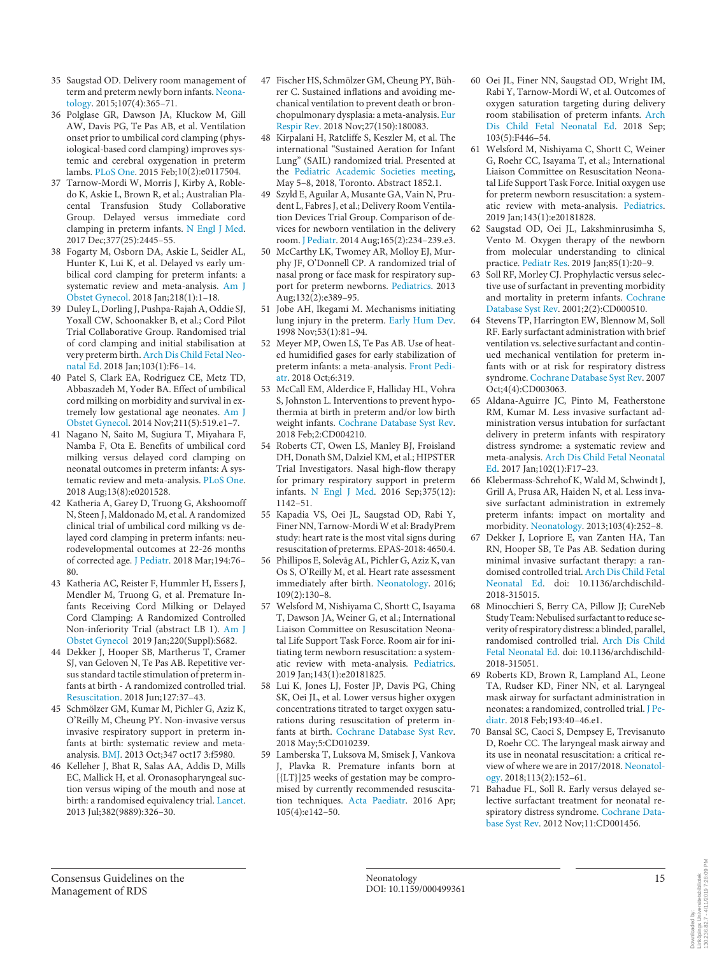- 35 Saugstad OD. Delivery room management of term and preterm newly born infants. Neonatology. 2015;107(4):365–71.
- 36 Polglase GR, Dawson JA, Kluckow M, Gill AW, Davis PG, Te Pas AB, et al. Ventilation onset prior to umbilical cord clamping (physiological-based cord clamping) improves systemic and cerebral oxygenation in preterm lambs. PLoS One. 2015 Feb;10(2):e0117504.
- 37 Tarnow-Mordi W, Morris J, Kirby A, Robledo K, Askie L, Brown R, et al.; Australian Placental Transfusion Study Collaborative Group. Delayed versus immediate cord clamping in preterm infants. N Engl J Med. 2017 Dec;377(25):2445–55.
- 38 Fogarty M, Osborn DA, Askie L, Seidler AL, Hunter K, Lui K, et al. Delayed vs early umbilical cord clamping for preterm infants: a systematic review and meta-analysis. Am J Obstet Gynecol. 2018 Jan;218(1):1–18.
- 39 Duley L, Dorling J, Pushpa-Rajah A, Oddie SJ, Yoxall CW, Schoonakker B, et al.; Cord Pilot Trial Collaborative Group. Randomised trial of cord clamping and initial stabilisation at very preterm birth. Arch Dis Child Fetal Neonatal Ed. 2018 Jan;103(1):F6–14.
- 40 Patel S, Clark EA, Rodriguez CE, Metz TD, Abbaszadeh M, Yoder BA. Effect of umbilical cord milking on morbidity and survival in extremely low gestational age neonates. Am J Obstet Gynecol. 2014 Nov;211(5):519.e1–7.
- 41 Nagano N, Saito M, Sugiura T, Miyahara F, Namba F, Ota E. Benefits of umbilical cord milking versus delayed cord clamping on neonatal outcomes in preterm infants: A systematic review and meta-analysis. PLoS One. 2018 Aug;13(8):e0201528.
- 42 Katheria A, Garey D, Truong G, Akshoomoff N, Steen J, Maldonado M, et al. A randomized clinical trial of umbilical cord milking vs delayed cord clamping in preterm infants: neurodevelopmental outcomes at 22-26 months of corrected age. J Pediatr. 2018 Mar;194:76– 80.
- 43 Katheria AC, Reister F, Hummler H, Essers J, Mendler M, Truong G, et al. Premature Infants Receiving Cord Milking or Delayed Cord Clamping: A Randomized Controlled Non-inferiority Trial (abstract LB 1). Am J Obstet Gynecol 2019 Jan;220(Suppl):S682.
- 44 Dekker J, Hooper SB, Martherus T, Cramer SJ, van Geloven N, Te Pas AB. Repetitive versus standard tactile stimulation of preterm infants at birth - A randomized controlled trial. Resuscitation. 2018 Jun;127:37–43.
- 45 Schmölzer GM, Kumar M, Pichler G, Aziz K, O'Reilly M, Cheung PY. Non-invasive versus invasive respiratory support in preterm infants at birth: systematic review and metaanalysis. BMJ. 2013 Oct;347 oct17 3:f5980.
- 46 Kelleher J, Bhat R, Salas AA, Addis D, Mills EC, Mallick H, et al. Oronasopharyngeal suction versus wiping of the mouth and nose at birth: a randomised equivalency trial. Lancet. 2013 Jul;382(9889):326–30.
- 47 Fischer HS, Schmölzer GM, Cheung PY, Bührer C. Sustained inflations and avoiding mechanical ventilation to prevent death or bronchopulmonary dysplasia: a meta-analysis. Eur Respir Rev. 2018 Nov;27(150):180083.
- 48 Kirpalani H, Ratcliffe S, Keszler M, et al. The international "Sustained Aeration for Infant Lung" (SAIL) randomized trial. Presented at the Pediatric Academic Societies meeting, May 5–8, 2018, Toronto. Abstract 1852.1.
- 49 Szyld E, Aguilar A, Musante GA, Vain N, Prudent L, Fabres J, et al.; Delivery Room Ventilation Devices Trial Group. Comparison of devices for newborn ventilation in the delivery room. J Pediatr. 2014 Aug;165(2):234–239.e3.
- 50 McCarthy LK, Twomey AR, Molloy EJ, Murphy JF, O'Donnell CP. A randomized trial of nasal prong or face mask for respiratory support for preterm newborns. Pediatrics. 2013 Aug;132(2):e389–95.
- 51 Jobe AH, Ikegami M. Mechanisms initiating lung injury in the preterm. Early Hum Dev. 1998 Nov;53(1):81–94.
- 52 Meyer MP, Owen LS, Te Pas AB. Use of heated humidified gases for early stabilization of preterm infants: a meta-analysis. Front Pediatr. 2018 Oct;6:319.
- 53 McCall EM, Alderdice F, Halliday HL, Vohra S, Johnston L. Interventions to prevent hypothermia at birth in preterm and/or low birth weight infants. Cochrane Database Syst Rev. 2018 Feb;2:CD004210.
- 54 Roberts CT, Owen LS, Manley BJ, Frøisland DH, Donath SM, Dalziel KM, et al.; HIPSTER Trial Investigators. Nasal high-flow therapy for primary respiratory support in preterm infants. N Engl J Med. 2016 Sep;375(12): 1142–51.
- 55 Kapadia VS, Oei JL, Saugstad OD, Rabi Y, Finer NN, Tarnow-Mordi W et al: BradyPrem study: heart rate is the most vital signs during resuscitation of preterms. EPAS-2018: 4650.4.
- 56 Phillipos E, Solevåg AL, Pichler G, Aziz K, van Os S, O'Reilly M, et al. Heart rate assessment immediately after birth. Neonatology. 2016; 109(2):130–8.
- 57 Welsford M, Nishiyama C, Shortt C, Isayama T, Dawson JA, Weiner G, et al.; International Liaison Committee on Resuscitation Neonatal Life Support Task Force. Room air for initiating term newborn resuscitation: a systematic review with meta-analysis. Pediatrics. 2019 Jan;143(1):e20181825.
- 58 Lui K, Jones LJ, Foster JP, Davis PG, Ching SK, Oei JL, et al. Lower versus higher oxygen concentrations titrated to target oxygen saturations during resuscitation of preterm infants at birth. Cochrane Database Syst Rev. 2018 May;5:CD010239.
- 59 Lamberska T, Luksova M, Smisek J, Vankova J, Plavka R. Premature infants born at [{LT}]25 weeks of gestation may be compromised by currently recommended resuscitation techniques. Acta Paediatr. 2016 Apr; 105(4):e142–50.
- 60 Oei JL, Finer NN, Saugstad OD, Wright IM, Rabi Y, Tarnow-Mordi W, et al. Outcomes of oxygen saturation targeting during delivery room stabilisation of preterm infants. Arch Dis Child Fetal Neonatal Ed. 2018 Sep; 103(5):F446–54.
- 61 Welsford M, Nishiyama C, Shortt C, Weiner G, Roehr CC, Isayama T, et al.; International Liaison Committee on Resuscitation Neonatal Life Support Task Force. Initial oxygen use for preterm newborn resuscitation: a systematic review with meta-analysis. Pediatrics. 2019 Jan;143(1):e20181828.
- 62 Saugstad OD, Oei JL, Lakshminrusimha S, Vento M. Oxygen therapy of the newborn from molecular understanding to clinical practice. Pediatr Res. 2019 Jan;85(1):20–9.
- 63 Soll RF, Morley CJ. Prophylactic versus selective use of surfactant in preventing morbidity and mortality in preterm infants. Cochrane Database Syst Rev. 2001;2(2):CD000510.
- 64 Stevens TP, Harrington EW, Blennow M, Soll RF. Early surfactant administration with brief ventilation vs. selective surfactant and continued mechanical ventilation for preterm infants with or at risk for respiratory distress syndrome. Cochrane Database Syst Rev. 2007 Oct;4(4):CD003063.
- 65 Aldana-Aguirre JC, Pinto M, Featherstone RM, Kumar M. Less invasive surfactant administration versus intubation for surfactant delivery in preterm infants with respiratory distress syndrome: a systematic review and meta-analysis. Arch Dis Child Fetal Neonatal Ed. 2017 Jan;102(1):F17–23.
- 66 Klebermass-Schrehof K, Wald M, Schwindt J, Grill A, Prusa AR, Haiden N, et al. Less invasive surfactant administration in extremely preterm infants: impact on mortality and morbidity. Neonatology. 2013;103(4):252–8.
- 67 Dekker J, Lopriore E, van Zanten HA, Tan RN, Hooper SB, Te Pas AB. Sedation during minimal invasive surfactant therapy: a randomised controlled trial. Arch Dis Child Fetal Neonatal Ed. doi: 10.1136/archdischild-2018-315015.
- 68 Minocchieri S, Berry CA, Pillow JJ; CureNeb Study Team: Nebulised surfactant to reduce severity of respiratory distress: a blinded, parallel, randomised controlled trial. Arch Dis Child Fetal Neonatal Ed. doi: 10.1136/archdischild-2018-315051.
- 69 Roberts KD, Brown R, Lampland AL, Leone TA, Rudser KD, Finer NN, et al. Laryngeal mask airway for surfactant administration in neonates: a randomized, controlled trial. J Pediatr. 2018 Feb;193:40–46.e1.
- 70 Bansal SC, Caoci S, Dempsey E, Trevisanuto D, Roehr CC. The laryngeal mask airway and its use in neonatal resuscitation: a critical review of where we are in 2017/2018. Neonatology. 2018;113(2):152–61.
- 71 Bahadue FL, Soll R. Early versus delayed selective surfactant treatment for neonatal respiratory distress syndrome. Cochrane Database Syst Rev. 2012 Nov;11:CD001456.

Downloaded by:<br>Linköpings Universitetsbibliotek<br>130.236.82.7 - 4/11/2019 7:28:09 PM 130.236.82.7 - 4/11/2019 7:28:09 PMLinköpings Universitetsbibliotek Downloaded by: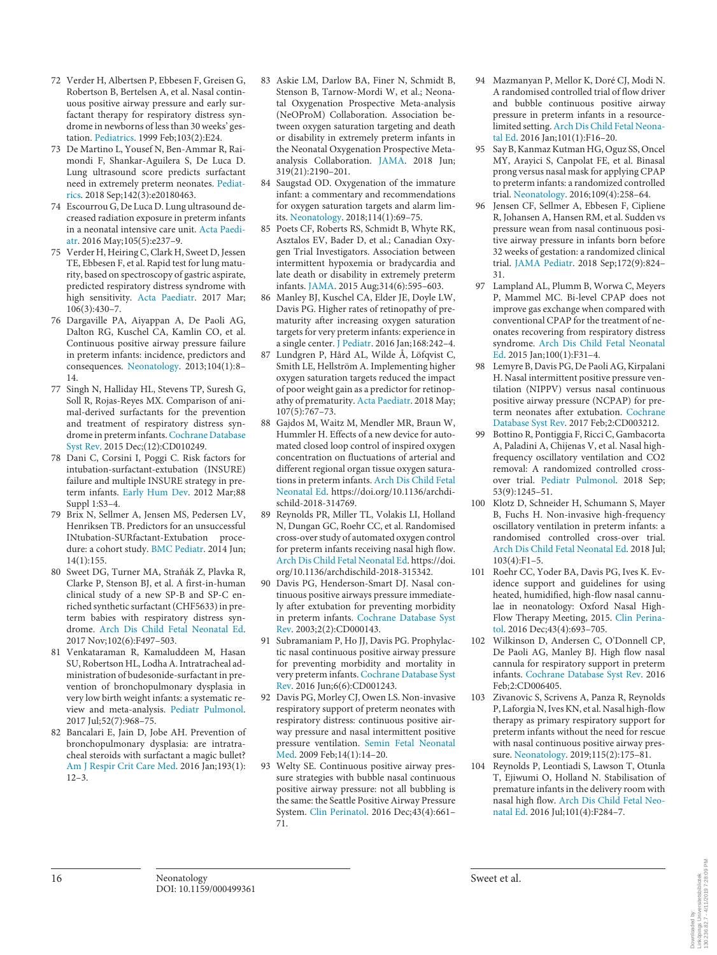- 72 Verder H, Albertsen P, Ebbesen F, Greisen G, Robertson B, Bertelsen A, et al. Nasal continuous positive airway pressure and early surfactant therapy for respiratory distress syndrome in newborns of less than 30 weeks' gestation. Pediatrics. 1999 Feb;103(2):E24.
- 73 De Martino L, Yousef N, Ben-Ammar R, Raimondi F, Shankar-Aguilera S, De Luca D. Lung ultrasound score predicts surfactant need in extremely preterm neonates. Pediatrics. 2018 Sep;142(3):e20180463.
- 74 Escourrou G, De Luca D. Lung ultrasound decreased radiation exposure in preterm infants in a neonatal intensive care unit. Acta Paediatr. 2016 May;105(5):e237–9.
- 75 Verder H, Heiring C, Clark H, Sweet D, Jessen TE, Ebbesen F, et al. Rapid test for lung maturity, based on spectroscopy of gastric aspirate, predicted respiratory distress syndrome with high sensitivity. Acta Paediatr. 2017 Mar;  $106(3):430-7.$
- 76 Dargaville PA, Aiyappan A, De Paoli AG, Dalton RG, Kuschel CA, Kamlin CO, et al. Continuous positive airway pressure failure in preterm infants: incidence, predictors and consequences. Neonatology. 2013;104(1):8– 14.
- 77 Singh N, Halliday HL, Stevens TP, Suresh G, Soll R, Rojas-Reyes MX. Comparison of animal-derived surfactants for the prevention and treatment of respiratory distress syndrome in preterm infants. Cochrane Database Syst Rev. 2015 Dec;(12):CD010249.
- 78 Dani C, Corsini I, Poggi C. Risk factors for intubation-surfactant-extubation (INSURE) failure and multiple INSURE strategy in preterm infants. Early Hum Dev. 2012 Mar;88 Suppl 1:S3–4.
- 79 Brix N, Sellmer A, Jensen MS, Pedersen LV, Henriksen TB. Predictors for an unsuccessful INtubation-SURfactant-Extubation procedure: a cohort study. BMC Pediatr. 2014 Jun; 14(1):155.
- 80 Sweet DG, Turner MA, Straňák Z, Plavka R, Clarke P, Stenson BJ, et al. A first-in-human clinical study of a new SP-B and SP-C enriched synthetic surfactant (CHF5633) in preterm babies with respiratory distress syndrome. Arch Dis Child Fetal Neonatal Ed. 2017 Nov;102(6):F497–503.
- 81 Venkataraman R, Kamaluddeen M, Hasan SU, Robertson HL, Lodha A. Intratracheal administration of budesonide-surfactant in prevention of bronchopulmonary dysplasia in very low birth weight infants: a systematic review and meta-analysis. Pediatr Pulmonol. 2017 Jul;52(7):968–75.
- 82 Bancalari E, Jain D, Jobe AH. Prevention of bronchopulmonary dysplasia: are intratracheal steroids with surfactant a magic bullet? Am J Respir Crit Care Med. 2016 Jan;193(1):  $12-3$
- 83 Askie LM, Darlow BA, Finer N, Schmidt B, Stenson B, Tarnow-Mordi W, et al.; Neonatal Oxygenation Prospective Meta-analysis (NeOProM) Collaboration. Association between oxygen saturation targeting and death or disability in extremely preterm infants in the Neonatal Oxygenation Prospective Metaanalysis Collaboration. JAMA. 2018 Jun; 319(21):2190–201.
- 84 Saugstad OD. Oxygenation of the immature infant: a commentary and recommendations for oxygen saturation targets and alarm limits. Neonatology. 2018;114(1):69–75.
- 85 Poets CF, Roberts RS, Schmidt B, Whyte RK, Asztalos EV, Bader D, et al.; Canadian Oxygen Trial Investigators. Association between intermittent hypoxemia or bradycardia and late death or disability in extremely preterm infants. JAMA. 2015 Aug;314(6):595–603.
- 86 Manley BJ, Kuschel CA, Elder JE, Doyle LW, Davis PG. Higher rates of retinopathy of prematurity after increasing oxygen saturation targets for very preterm infants: experience in a single center. J Pediatr. 2016 Jan;168:242–4.
- 87 Lundgren P, Hård AL, Wilde Å, Löfqvist C, Smith LE, Hellström A. Implementing higher oxygen saturation targets reduced the impact of poor weight gain as a predictor for retinopathy of prematurity. Acta Paediatr. 2018 May; 107(5):767–73.
- Gajdos M, Waitz M, Mendler MR, Braun W, Hummler H. Effects of a new device for automated closed loop control of inspired oxygen concentration on fluctuations of arterial and different regional organ tissue oxygen saturations in preterm infants. Arch Dis Child Fetal Neonatal Ed. https://doi.org/10.1136/archdischild-2018-314769.
- 89 Reynolds PR, Miller TL, Volakis LI, Holland N, Dungan GC, Roehr CC, et al. Randomised cross-over study of automated oxygen control for preterm infants receiving nasal high flow. Arch Dis Child Fetal Neonatal Ed. https://doi. org/10.1136/archdischild-2018-315342.
- 90 Davis PG, Henderson-Smart DJ. Nasal continuous positive airways pressure immediately after extubation for preventing morbidity in preterm infants. Cochrane Database Syst Rev. 2003;2(2):CD000143.
- 91 Subramaniam P, Ho JJ, Davis PG. Prophylactic nasal continuous positive airway pressure for preventing morbidity and mortality in very preterm infants. Cochrane Database Syst Rev. 2016 Jun;6(6):CD001243.
- 92 Davis PG, Morley CJ, Owen LS. Non-invasive respiratory support of preterm neonates with respiratory distress: continuous positive airway pressure and nasal intermittent positive pressure ventilation. Semin Fetal Neonatal Med. 2009 Feb;14(1):14–20.
- 93 Welty SE. Continuous positive airway pressure strategies with bubble nasal continuous positive airway pressure: not all bubbling is the same: the Seattle Positive Airway Pressure System. Clin Perinatol. 2016 Dec;43(4):661– 71.
- 94 Mazmanyan P, Mellor K, Doré CJ, Modi N. A randomised controlled trial of flow driver and bubble continuous positive airway pressure in preterm infants in a resourcelimited setting. Arch Dis Child Fetal Neonatal Ed. 2016 Jan;101(1):F16–20.
- Say B, Kanmaz Kutman HG, Oguz SS, Oncel MY, Arayici S, Canpolat FE, et al. Binasal prong versus nasal mask for applying CPAP to preterm infants: a randomized controlled trial. Neonatology. 2016;109(4):258–64.
- 96 Jensen CF, Sellmer A, Ebbesen F, Cipliene R, Johansen A, Hansen RM, et al. Sudden vs pressure wean from nasal continuous positive airway pressure in infants born before 32 weeks of gestation: a randomized clinical trial. JAMA Pediatr. 2018 Sep;172(9):824– 31.
- 97 Lampland AL, Plumm B, Worwa C, Meyers P, Mammel MC. Bi-level CPAP does not improve gas exchange when compared with conventional CPAP for the treatment of neonates recovering from respiratory distress syndrome. Arch Dis Child Fetal Neonatal Ed. 2015 Jan;100(1):F31–4.
- Lemyre B, Davis PG, De Paoli AG, Kirpalani H. Nasal intermittent positive pressure ventilation (NIPPV) versus nasal continuous positive airway pressure (NCPAP) for preterm neonates after extubation. Cochrane Database Syst Rev. 2017 Feb;2:CD003212.
- 99 Bottino R, Pontiggia F, Ricci C, Gambacorta A, Paladini A, Chijenas V, et al. Nasal highfrequency oscillatory ventilation and CO2 removal: A randomized controlled crossover trial. Pediatr Pulmonol. 2018 Sep; 53(9):1245–51.
- 100 Klotz D, Schneider H, Schumann S, Mayer B, Fuchs H. Non-invasive high-frequency oscillatory ventilation in preterm infants: a randomised controlled cross-over trial. Arch Dis Child Fetal Neonatal Ed. 2018 Jul; 103(4):F1–5.
- 101 Roehr CC, Yoder BA, Davis PG, Ives K. Evidence support and guidelines for using heated, humidified, high-flow nasal cannulae in neonatology: Oxford Nasal High-Flow Therapy Meeting, 2015. Clin Perinatol. 2016 Dec;43(4):693–705.
- 102 Wilkinson D, Andersen C, O'Donnell CP, De Paoli AG, Manley BJ. High flow nasal cannula for respiratory support in preterm infants. Cochrane Database Syst Rev. 2016 Feb;2:CD006405.
- 103 Zivanovic S, Scrivens A, Panza R, Reynolds P, Laforgia N, Ives KN, et al. Nasal high-flow therapy as primary respiratory support for preterm infants without the need for rescue with nasal continuous positive airway pressure. Neonatology. 2019;115(2):175–81.
- 104 Reynolds P, Leontiadi S, Lawson T, Otunla T, Ejiwumi O, Holland N. Stabilisation of premature infants in the delivery room with nasal high flow. Arch Dis Child Fetal Neonatal Ed. 2016 Jul;101(4):F284–7.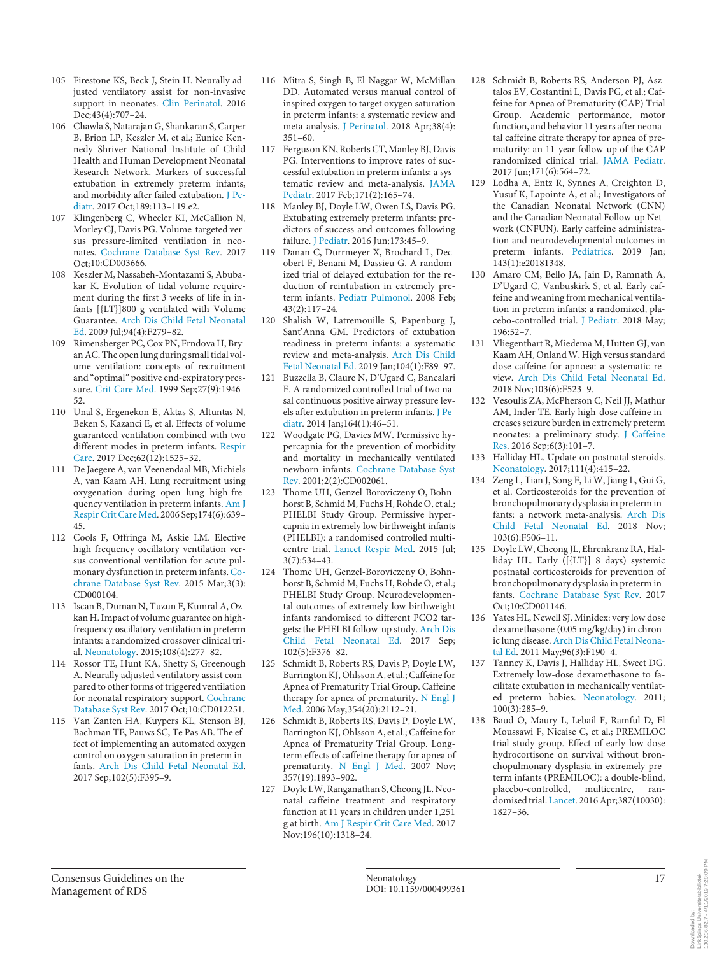- 105 Firestone KS, Beck J, Stein H. Neurally adjusted ventilatory assist for non-invasive support in neonates. Clin Perinatol. 2016 Dec; 43(4): 707-24.
- 106 Chawla S, Natarajan G, Shankaran S, Carper B, Brion LP, Keszler M, et al.; Eunice Kennedy Shriver National Institute of Child Health and Human Development Neonatal Research Network. Markers of successful extubation in extremely preterm infants, and morbidity after failed extubation. J Pediatr. 2017 Oct;189:113–119.e2.
- 107 Klingenberg C, Wheeler KI, McCallion N, Morley CJ, Davis PG. Volume-targeted versus pressure-limited ventilation in neonates. Cochrane Database Syst Rev. 2017 Oct;10:CD003666.
- 108 Keszler M, Nassabeh-Montazami S, Abubakar K. Evolution of tidal volume requirement during the first 3 weeks of life in infants [{LT}]800 g ventilated with Volume Guarantee. Arch Dis Child Fetal Neonatal Ed. 2009 Jul;94(4):F279–82.
- 109 Rimensberger PC, Cox PN, Frndova H, Bryan AC. The open lung during small tidal volume ventilation: concepts of recruitment and "optimal" positive end-expiratory pressure. Crit Care Med. 1999 Sep;27(9):1946– 52.
- 110 Unal S, Ergenekon E, Aktas S, Altuntas N, Beken S, Kazanci E, et al. Effects of volume guaranteed ventilation combined with two different modes in preterm infants. Respir Care. 2017 Dec;62(12):1525–32.
- 111 De Jaegere A, van Veenendaal MB, Michiels A, van Kaam AH. Lung recruitment using oxygenation during open lung high-frequency ventilation in preterm infants. Am J Respir Crit Care Med. 2006 Sep;174(6):639– 45.
- 112 Cools F, Offringa M, Askie LM. Elective high frequency oscillatory ventilation versus conventional ventilation for acute pulmonary dysfunction in preterm infants. Cochrane Database Syst Rev. 2015 Mar;3(3): CD000104.
- 113 Iscan B, Duman N, Tuzun F, Kumral A, Ozkan H. Impact of volume guarantee on highfrequency oscillatory ventilation in preterm infants: a randomized crossover clinical trial. Neonatology. 2015;108(4):277–82.
- 114 Rossor TE, Hunt KA, Shetty S, Greenough A. Neurally adjusted ventilatory assist compared to other forms of triggered ventilation for neonatal respiratory support. Cochrane Database Syst Rev. 2017 Oct;10:CD012251.
- 115 Van Zanten HA, Kuypers KL, Stenson BJ, Bachman TE, Pauws SC, Te Pas AB. The effect of implementing an automated oxygen control on oxygen saturation in preterm infants. Arch Dis Child Fetal Neonatal Ed. 2017 Sep;102(5):F395–9.
- 116 Mitra S, Singh B, El-Naggar W, McMillan DD. Automated versus manual control of inspired oxygen to target oxygen saturation in preterm infants: a systematic review and meta-analysis. J Perinatol. 2018 Apr;38(4): 351–60.
- 117 Ferguson KN, Roberts CT, Manley BJ, Davis PG. Interventions to improve rates of successful extubation in preterm infants: a systematic review and meta-analysis. JAMA Pediatr. 2017 Feb;171(2):165–74.
- 118 Manley BJ, Doyle LW, Owen LS, Davis PG. Extubating extremely preterm infants: predictors of success and outcomes following failure. J Pediatr. 2016 Jun;173:45–9.
- 119 Danan C, Durrmeyer X, Brochard L, Decobert F, Benani M, Dassieu G. A randomized trial of delayed extubation for the reduction of reintubation in extremely preterm infants. Pediatr Pulmonol. 2008 Feb; 43(2):117–24.
- 120 Shalish W, Latremouille S, Papenburg J, Sant'Anna GM. Predictors of extubation readiness in preterm infants: a systematic review and meta-analysis. Arch Dis Child Fetal Neonatal Ed. 2019 Jan;104(1):F89–97.
- Buzzella B, Claure N, D'Ugard C, Bancalari E. A randomized controlled trial of two nasal continuous positive airway pressure levels after extubation in preterm infants. J Pediatr. 2014 Jan; 164(1): 46-51.
- 122 Woodgate PG, Davies MW. Permissive hypercapnia for the prevention of morbidity and mortality in mechanically ventilated newborn infants. Cochrane Database Syst Rev. 2001;2(2):CD002061.
- 123 Thome UH, Genzel-Boroviczeny O, Bohnhorst B, Schmid M, Fuchs H, Rohde O, et al.; PHELBI Study Group. Permissive hypercapnia in extremely low birthweight infants (PHELBI): a randomised controlled multicentre trial. Lancet Respir Med. 2015 Jul; 3(7):534–43.
- 124 Thome UH, Genzel-Boroviczeny O, Bohnhorst B, Schmid M, Fuchs H, Rohde O, et al.; PHELBI Study Group. Neurodevelopmental outcomes of extremely low birthweight infants randomised to different PCO2 targets: the PHELBI follow-up study. Arch Dis Child Fetal Neonatal Ed. 2017 Sep; 102(5):F376–82.
- 125 Schmidt B, Roberts RS, Davis P, Doyle LW, Barrington KJ, Ohlsson A, et al.; Caffeine for Apnea of Prematurity Trial Group. Caffeine therapy for apnea of prematurity. N Engl J Med. 2006 May;354(20):2112–21.
- 126 Schmidt B, Roberts RS, Davis P, Doyle LW, Barrington KJ, Ohlsson A, et al.; Caffeine for Apnea of Prematurity Trial Group. Longterm effects of caffeine therapy for apnea of prematurity. N Engl J Med. 2007 Nov; 357(19):1893–902.
- 127 Doyle LW, Ranganathan S, Cheong JL. Neonatal caffeine treatment and respiratory function at 11 years in children under 1,251 g at birth. Am J Respir Crit Care Med. 2017 Nov;196(10):1318–24.
- 128 Schmidt B, Roberts RS, Anderson PJ, Asztalos EV, Costantini L, Davis PG, et al.; Caffeine for Apnea of Prematurity (CAP) Trial Group. Academic performance, motor function, and behavior 11 years after neonatal caffeine citrate therapy for apnea of prematurity: an 11-year follow-up of the CAP randomized clinical trial. JAMA Pediatr. 2017 Jun;171(6):564–72.
- 129 Lodha A, Entz R, Synnes A, Creighton D, Yusuf K, Lapointe A, et al.; Investigators of the Canadian Neonatal Network (CNN) and the Canadian Neonatal Follow-up Network (CNFUN). Early caffeine administration and neurodevelopmental outcomes in preterm infants. Pediatrics. 2019 Jan; 143(1):e20181348.
- 130 Amaro CM, Bello JA, Jain D, Ramnath A, D'Ugard C, Vanbuskirk S, et al. Early caffeine and weaning from mechanical ventilation in preterm infants: a randomized, placebo-controlled trial. J Pediatr. 2018 May; 196:52–7.
- 131 Vliegenthart R, Miedema M, Hutten GJ, van Kaam AH, Onland W. High versus standard dose caffeine for apnoea: a systematic review. Arch Dis Child Fetal Neonatal Ed. 2018 Nov;103(6):F523–9.
- Vesoulis ZA, McPherson C, Neil JJ, Mathur AM, Inder TE. Early high-dose caffeine increases seizure burden in extremely preterm neonates: a preliminary study. J Caffeine Res. 2016 Sep;6(3):101–7.
- 133 Halliday HL. Update on postnatal steroids. Neonatology. 2017;111(4):415–22.
- 134 Zeng L, Tian J, Song F, Li W, Jiang L, Gui G, et al. Corticosteroids for the prevention of bronchopulmonary dysplasia in preterm infants: a network meta-analysis. Arch Dis Child Fetal Neonatal Ed. 2018 Nov; 103(6):F506–11.
- 135 Doyle LW, Cheong JL, Ehrenkranz RA, Halliday HL. Early ([{LT}] 8 days) systemic postnatal corticosteroids for prevention of bronchopulmonary dysplasia in preterm infants. Cochrane Database Syst Rev. 2017 Oct;10:CD001146.
- 136 Yates HL, Newell SJ. Minidex: very low dose dexamethasone (0.05 mg/kg/day) in chronic lung disease. Arch Dis Child Fetal Neonatal Ed. 2011 May;96(3):F190–4.
- 137 Tanney K, Davis J, Halliday HL, Sweet DG. Extremely low-dose dexamethasone to facilitate extubation in mechanically ventilated preterm babies. Neonatology. 2011;  $100(3):285-9.$
- 138 Baud O, Maury L, Lebail F, Ramful D, El Moussawi F, Nicaise C, et al.; PREMILOC trial study group. Effect of early low-dose hydrocortisone on survival without bronchopulmonary dysplasia in extremely preterm infants (PREMILOC): a double-blind,<br>placebo-controlled, multicentre, ranplacebo-controlled, multicentre, randomised trial. Lancet. 2016 Apr;387(10030): 1827–36.

Downloaded by:<br>Linköpings Universitetsbibliotek<br>130.236.82.7 - 4/11/2019 7:28:09 PM 130.236.82.7 - 4/11/2019 7:28:09 PMLinköpings Universitetsbibliotek Downloaded by: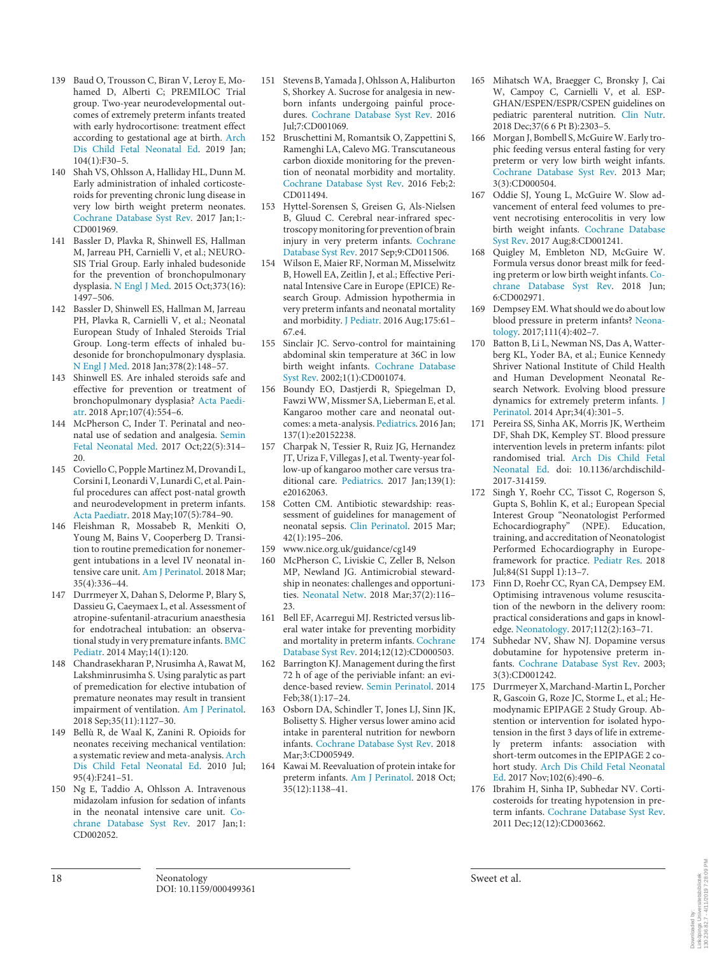- 139 Baud O, Trousson C, Biran V, Leroy E, Mohamed D, Alberti C; PREMILOC Trial group. Two-year neurodevelopmental outcomes of extremely preterm infants treated with early hydrocortisone: treatment effect according to gestational age at birth. Arch Dis Child Fetal Neonatal Ed. 2019 Jan;  $104(1):F30-5.$
- 140 Shah VS, Ohlsson A, Halliday HL, Dunn M. Early administration of inhaled corticosteroids for preventing chronic lung disease in very low birth weight preterm neonates. Cochrane Database Syst Rev. 2017 Jan;1:- CD001969.
- 141 Bassler D, Plavka R, Shinwell ES, Hallman M, Jarreau PH, Carnielli V, et al.; NEURO-SIS Trial Group. Early inhaled budesonide for the prevention of bronchopulmonary dysplasia. N Engl J Med. 2015 Oct;373(16): 1497–506.
- 142 Bassler D, Shinwell ES, Hallman M, Jarreau PH, Plavka R, Carnielli V, et al.; Neonatal European Study of Inhaled Steroids Trial Group. Long-term effects of inhaled budesonide for bronchopulmonary dysplasia. N Engl J Med. 2018 Jan;378(2):148–57.
- 143 Shinwell ES. Are inhaled steroids safe and effective for prevention or treatment of bronchopulmonary dysplasia? Acta Paediatr. 2018 Apr;107(4):554–6.
- 144 McPherson C, Inder T. Perinatal and neonatal use of sedation and analgesia. Semin Fetal Neonatal Med. 2017 Oct;22(5):314– 20.
- 145 Coviello C, Popple Martinez M, Drovandi L, Corsini I, Leonardi V, Lunardi C, et al. Painful procedures can affect post-natal growth and neurodevelopment in preterm infants. Acta Paediatr. 2018 May;107(5):784–90.
- 146 Fleishman R, Mossabeb R, Menkiti O, Young M, Bains V, Cooperberg D. Transition to routine premedication for nonemergent intubations in a level IV neonatal intensive care unit. Am J Perinatol. 2018 Mar; 35(4):336–44.
- 147 Durrmeyer X, Dahan S, Delorme P, Blary S, Dassieu G, Caeymaex L, et al. Assessment of atropine-sufentanil-atracurium anaesthesia for endotracheal intubation: an observational study in very premature infants. BMC Pediatr. 2014 May;14(1):120.
- 148 Chandrasekharan P, Nrusimha A, Rawat M, Lakshminrusimha S. Using paralytic as part of premedication for elective intubation of premature neonates may result in transient impairment of ventilation. Am J Perinatol. 2018 Sep;35(11):1127–30.
- 149 Bellù R, de Waal K, Zanini R. Opioids for neonates receiving mechanical ventilation: a systematic review and meta-analysis. Arch Dis Child Fetal Neonatal Ed. 2010 Jul; 95(4):F241–51.
- 150 Ng E, Taddio A, Ohlsson A. Intravenous midazolam infusion for sedation of infants in the neonatal intensive care unit. Cochrane Database Syst Rev. 2017 Jan;1: CD002052.
- 151 Stevens B, Yamada J, Ohlsson A, Haliburton S, Shorkey A. Sucrose for analgesia in newborn infants undergoing painful procedures. Cochrane Database Syst Rev. 2016 Jul;7:CD001069.
- 152 Bruschettini M, Romantsik O, Zappettini S, Ramenghi LA, Calevo MG. Transcutaneous carbon dioxide monitoring for the prevention of neonatal morbidity and mortality. Cochrane Database Syst Rev. 2016 Feb;2: CD011494.
- 153 Hyttel-Sorensen S, Greisen G, Als-Nielsen B, Gluud C. Cerebral near-infrared spectroscopy monitoring for prevention of brain injury in very preterm infants. Cochrane Database Syst Rev. 2017 Sep;9:CD011506.
- 154 Wilson E, Maier RF, Norman M, Misselwitz B, Howell EA, Zeitlin J, et al.; Effective Perinatal Intensive Care in Europe (EPICE) Research Group. Admission hypothermia in very preterm infants and neonatal mortality and morbidity. J Pediatr. 2016 Aug;175:61– 67.e4.
- 155 Sinclair JC. Servo-control for maintaining abdominal skin temperature at 36C in low birth weight infants. Cochrane Database Syst Rev. 2002;1(1):CD001074.
- 156 Boundy EO, Dastjerdi R, Spiegelman D, Fawzi WW, Missmer SA, Lieberman E, et al. Kangaroo mother care and neonatal outcomes: a meta-analysis. Pediatrics. 2016 Jan; 137(1):e20152238.
- 157 Charpak N, Tessier R, Ruiz JG, Hernandez JT, Uriza F, Villegas J, et al. Twenty-year follow-up of kangaroo mother care versus traditional care. Pediatrics. 2017 Jan;139(1): e20162063.
- 158 Cotten CM. Antibiotic stewardship: reassessment of guidelines for management of neonatal sepsis. Clin Perinatol. 2015 Mar; 42(1):195–206.
- 159 www.nice.org.uk/guidance/cg149<br>160 McPherson C. Liviskie C. Zeller
- McPherson C, Liviskie C, Zeller B, Nelson MP, Newland JG. Antimicrobial stewardship in neonates: challenges and opportunities. Neonatal Netw. 2018 Mar;37(2):116– 23.
- 161 Bell EF, Acarregui MJ. Restricted versus liberal water intake for preventing morbidity and mortality in preterm infants. Cochrane Database Syst Rev. 2014;12(12):CD000503.
- 162 Barrington KJ. Management during the first 72 h of age of the periviable infant: an evidence-based review. Semin Perinatol. 2014 Feb;38(1):17–24.
- 163 Osborn DA, Schindler T, Jones LJ, Sinn JK, Bolisetty S. Higher versus lower amino acid intake in parenteral nutrition for newborn infants. Cochrane Database Syst Rev. 2018 Mar;3:CD005949.
- 164 Kawai M. Reevaluation of protein intake for preterm infants. Am J Perinatol. 2018 Oct; 35(12):1138–41.
- 165 Mihatsch WA, Braegger C, Bronsky J, Cai W, Campoy C, Carnielli V, et al. ESP-GHAN/ESPEN/ESPR/CSPEN guidelines on pediatric parenteral nutrition. Clin Nutr. 2018 Dec;37(6 6 Pt B):2303–5.
- 166 Morgan J, Bombell S, McGuire W. Early trophic feeding versus enteral fasting for very preterm or very low birth weight infants. Cochrane Database Syst Rev. 2013 Mar; 3(3):CD000504.
- 167 Oddie SJ, Young L, McGuire W. Slow advancement of enteral feed volumes to prevent necrotising enterocolitis in very low birth weight infants. Cochrane Database Syst Rev. 2017 Aug;8:CD001241.
- 168 Quigley M, Embleton ND, McGuire W. Formula versus donor breast milk for feeding preterm or low birth weight infants. Cochrane Database Syst Rev. 2018 Jun; 6:CD002971.
- 169 Dempsey EM. What should we do about low blood pressure in preterm infants? Neonatology. 2017;111(4):402–7.
- 170 Batton B, Li L, Newman NS, Das A, Watterberg KL, Yoder BA, et al.; Eunice Kennedy Shriver National Institute of Child Health and Human Development Neonatal Research Network. Evolving blood pressure dynamics for extremely preterm infants. J Perinatol. 2014 Apr;34(4):301–5.
- 171 Pereira SS, Sinha AK, Morris JK, Wertheim DF, Shah DK, Kempley ST. Blood pressure intervention levels in preterm infants: pilot randomised trial. Arch Dis Child Fetal Neonatal Ed. doi: 10.1136/archdischild-2017-314159.
- 172 Singh Y, Roehr CC, Tissot C, Rogerson S, Gupta S, Bohlin K, et al.; European Special Interest Group "Neonatologist Performed Echocardiography" (NPE). Education, training, and accreditation of Neonatologist Performed Echocardiography in Europeframework for practice. Pediatr Res. 2018 Jul;84(S1 Suppl 1):13–7.
- 173 Finn D, Roehr CC, Ryan CA, Dempsey EM. Optimising intravenous volume resuscitation of the newborn in the delivery room: practical considerations and gaps in knowledge. Neonatology. 2017;112(2):163–71.
- Subhedar NV, Shaw NJ. Dopamine versus dobutamine for hypotensive preterm infants. Cochrane Database Syst Rev. 2003; 3(3):CD001242.
- 175 Durrmeyer X, Marchand-Martin L, Porcher R, Gascoin G, Roze JC, Storme L, et al.; Hemodynamic EPIPAGE 2 Study Group. Abstention or intervention for isolated hypotension in the first 3 days of life in extremely preterm infants: association with short-term outcomes in the EPIPAGE 2 cohort study. Arch Dis Child Fetal Neonatal Ed. 2017 Nov;102(6):490–6.
- 176 Ibrahim H, Sinha IP, Subhedar NV. Corticosteroids for treating hypotension in preterm infants. Cochrane Database Syst Rev. 2011 Dec;12(12):CD003662.